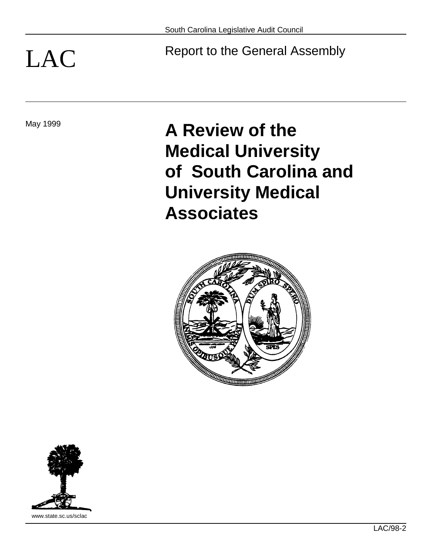LAC Report to the General Assembly

# May 1999 **A Review of the Medical University of South Carolina and University Medical Associates**





www.state.sc.us/sclac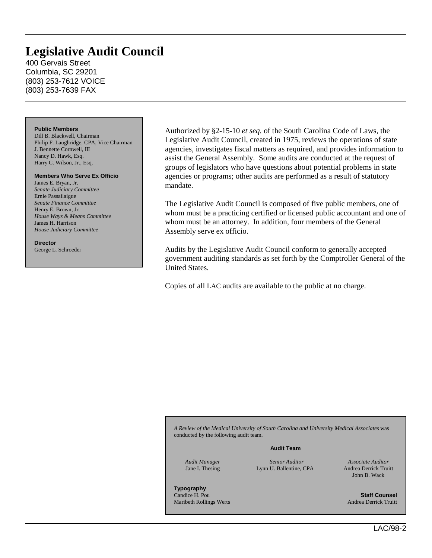## **Legislative Audit Council**

400 Gervais Street Columbia, SC 29201 (803) 253-7612 VOICE (803) 253-7639 FAX

### **Public Members**

Dill B. Blackwell, Chairman Philip F. Laughridge, CPA, Vice Chairman J. Bennette Cornwell, III Nancy D. Hawk, Esq. Harry C. Wilson, Jr., Esq.

### **Members Who Serve Ex Officio**

James E. Bryan, Jr. *Senate Judiciary Committee* Ernie Passailaigue *Senate Finance Committee* Henry E. Brown, Jr. *House Ways & Means Committee* James H. Harrison *House Judiciary Committee*

### **Director** George L. Schroeder

Authorized by §2-15-10 *et seq.* of the South Carolina Code of Laws, the Legislative Audit Council, created in 1975, reviews the operations of state agencies, investigates fiscal matters as required, and provides information to assist the General Assembly. Some audits are conducted at the request of groups of legislators who have questions about potential problems in state agencies or programs; other audits are performed as a result of statutory mandate.

The Legislative Audit Council is composed of five public members, one of whom must be a practicing certified or licensed public accountant and one of whom must be an attorney. In addition, four members of the General Assembly serve ex officio.

Audits by the Legislative Audit Council conform to generally accepted government auditing standards as set forth by the Comptroller General of the United States.

Copies of all LAC audits are available to the public at no charge.

*A Review of the Medical University of South Carolina and University Medical Associates* was conducted by the following audit team.

### **Audit Team**

*Audit Manager* Jane I. Thesing

*Senior Auditor* Lynn U. Ballentine, CPA

*Associate Auditor* Andrea Derrick Truitt John B. Wack

**Typography** Candice H. Pou Maribeth Rollings Werts

**Staff Counsel** Andrea Derrick Truitt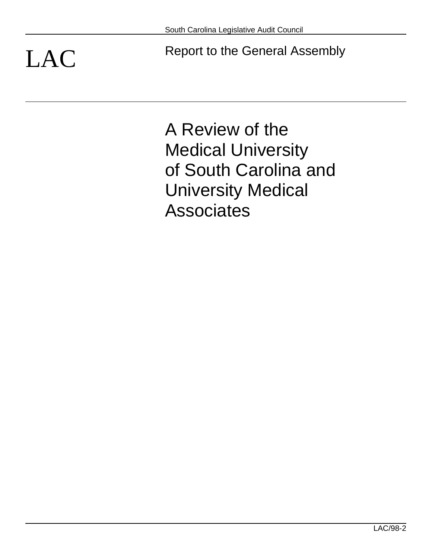LAC Report to the General Assembly

A Review of the Medical University of South Carolina and University Medical Associates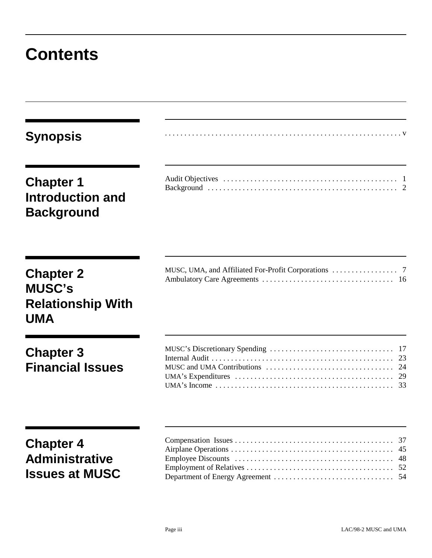# **Contents**

| <b>Synopsis</b>                                                             |                        |
|-----------------------------------------------------------------------------|------------------------|
| <b>Chapter 1</b><br>Introduction and<br><b>Background</b>                   |                        |
| <b>Chapter 2</b><br><b>MUSC's</b><br><b>Relationship With</b><br><b>UMA</b> |                        |
| <b>Chapter 3</b><br><b>Financial Issues</b>                                 | -17<br>23              |
| <b>Chapter 4</b><br><b>Administrative</b><br><b>Issues at MUSC</b>          | - 37<br>45<br>48<br>52 |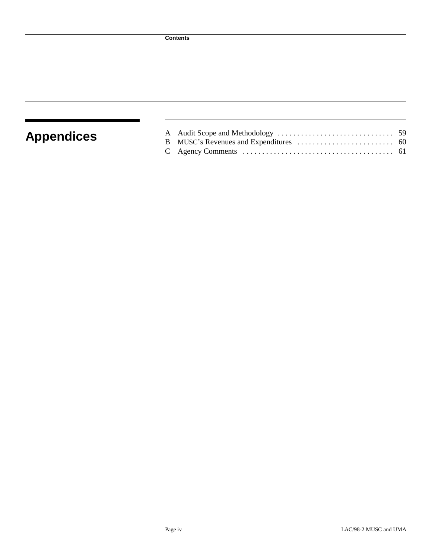# **Appendices**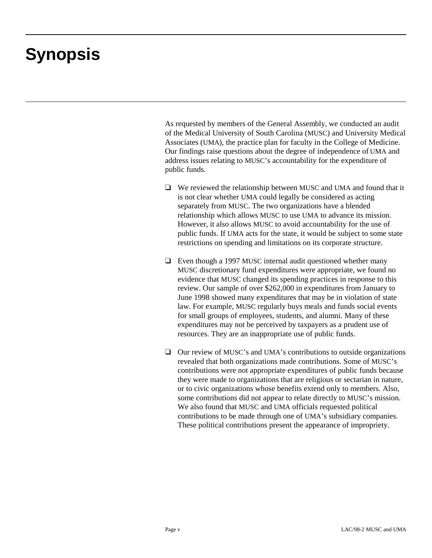# **Synopsis**

As requested by members of the General Assembly, we conducted an audit of the Medical University of South Carolina (MUSC) and University Medical Associates (UMA), the practice plan for faculty in the College of Medicine. Our findings raise questions about the degree of independence of UMA and address issues relating to MUSC's accountability for the expenditure of public funds.

- $\Box$  We reviewed the relationship between MUSC and UMA and found that it is not clear whether UMA could legally be considered as acting separately from MUSC. The two organizations have a blended relationship which allows MUSC to use UMA to advance its mission. However, it also allows MUSC to avoid accountability for the use of public funds. If UMA acts for the state, it would be subject to some state restrictions on spending and limitations on its corporate structure.
- $\Box$  Even though a 1997 MUSC internal audit questioned whether many MUSC discretionary fund expenditures were appropriate, we found no evidence that MUSC changed its spending practices in response to this review. Our sample of over \$262,000 in expenditures from January to June 1998 showed many expenditures that may be in violation of state law. For example, MUSC regularly buys meals and funds social events for small groups of employees, students, and alumni. Many of these expenditures may not be perceived by taxpayers as a prudent use of resources. They are an inappropriate use of public funds.
- $\Box$  Our review of MUSC's and UMA's contributions to outside organizations revealed that both organizations made contributions. Some of MUSC's contributions were not appropriate expenditures of public funds because they were made to organizations that are religious or sectarian in nature, or to civic organizations whose benefits extend only to members. Also, some contributions did not appear to relate directly to MUSC's mission. We also found that MUSC and UMA officials requested political contributions to be made through one of UMA's subsidiary companies. These political contributions present the appearance of impropriety.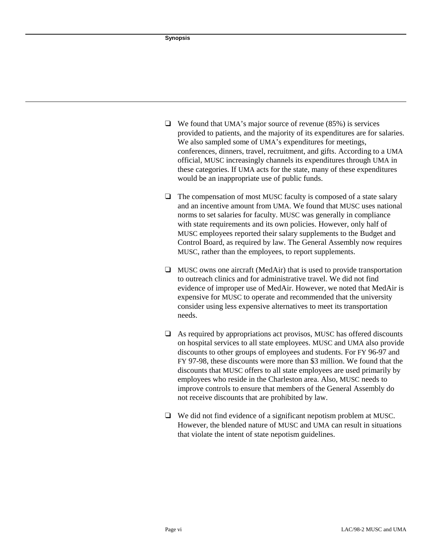- $\Box$  We found that UMA's major source of revenue (85%) is services provided to patients, and the majority of its expenditures are for salaries. We also sampled some of UMA's expenditures for meetings, conferences, dinners, travel, recruitment, and gifts. According to a UMA official, MUSC increasingly channels its expenditures through UMA in these categories. If UMA acts for the state, many of these expenditures would be an inappropriate use of public funds.
- $\Box$  The compensation of most MUSC faculty is composed of a state salary and an incentive amount from UMA. We found that MUSC uses national norms to set salaries for faculty. MUSC was generally in compliance with state requirements and its own policies. However, only half of MUSC employees reported their salary supplements to the Budget and Control Board, as required by law. The General Assembly now requires MUSC, rather than the employees, to report supplements.
- $\Box$  MUSC owns one aircraft (MedAir) that is used to provide transportation to outreach clinics and for administrative travel. We did not find evidence of improper use of MedAir. However, we noted that MedAir is expensive for MUSC to operate and recommended that the university consider using less expensive alternatives to meet its transportation needs.
- $\Box$  As required by appropriations act provisos, MUSC has offered discounts on hospital services to all state employees. MUSC and UMA also provide discounts to other groups of employees and students. For FY 96-97 and FY 97-98, these discounts were more than \$3 million. We found that the discounts that MUSC offers to all state employees are used primarily by employees who reside in the Charleston area. Also, MUSC needs to improve controls to ensure that members of the General Assembly do not receive discounts that are prohibited by law.
- $\Box$  We did not find evidence of a significant nepotism problem at MUSC. However, the blended nature of MUSC and UMA can result in situations that violate the intent of state nepotism guidelines.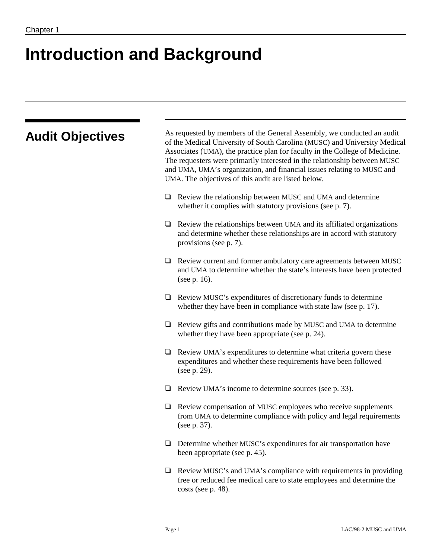# **Introduction and Background**

| <b>Audit Objectives</b> | As requested by members of the General Assembly, we conducted an audit<br>of the Medical University of South Carolina (MUSC) and University Medical<br>Associates (UMA), the practice plan for faculty in the College of Medicine.<br>The requesters were primarily interested in the relationship between MUSC<br>and UMA, UMA's organization, and financial issues relating to MUSC and<br>UMA. The objectives of this audit are listed below. |
|-------------------------|--------------------------------------------------------------------------------------------------------------------------------------------------------------------------------------------------------------------------------------------------------------------------------------------------------------------------------------------------------------------------------------------------------------------------------------------------|
|                         | Review the relationship between MUSC and UMA and determine<br>⊔<br>whether it complies with statutory provisions (see p. 7).                                                                                                                                                                                                                                                                                                                     |
|                         | Review the relationships between UMA and its affiliated organizations<br>⊔<br>and determine whether these relationships are in accord with statutory<br>provisions (see p. 7).                                                                                                                                                                                                                                                                   |
|                         | Review current and former ambulatory care agreements between MUSC<br>⊔<br>and UMA to determine whether the state's interests have been protected<br>(see p. 16).                                                                                                                                                                                                                                                                                 |
|                         | Review MUSC's expenditures of discretionary funds to determine<br>$\Box$<br>whether they have been in compliance with state law (see p. 17).                                                                                                                                                                                                                                                                                                     |
|                         | Review gifts and contributions made by MUSC and UMA to determine<br>⊔<br>whether they have been appropriate (see p. 24).                                                                                                                                                                                                                                                                                                                         |
|                         | Review UMA's expenditures to determine what criteria govern these<br>⊔<br>expenditures and whether these requirements have been followed<br>(see p. 29).                                                                                                                                                                                                                                                                                         |
|                         | Review UMA's income to determine sources (see p. 33).<br>⊔                                                                                                                                                                                                                                                                                                                                                                                       |
|                         | Review compensation of MUSC employees who receive supplements<br>from UMA to determine compliance with policy and legal requirements<br>(see p. 37).                                                                                                                                                                                                                                                                                             |
|                         | Determine whether MUSC's expenditures for air transportation have<br>⊔<br>been appropriate (see p. 45).                                                                                                                                                                                                                                                                                                                                          |
|                         | Review MUSC's and UMA's compliance with requirements in providing<br>❏<br>free or reduced fee medical care to state employees and determine the<br>$costs$ (see p. 48).                                                                                                                                                                                                                                                                          |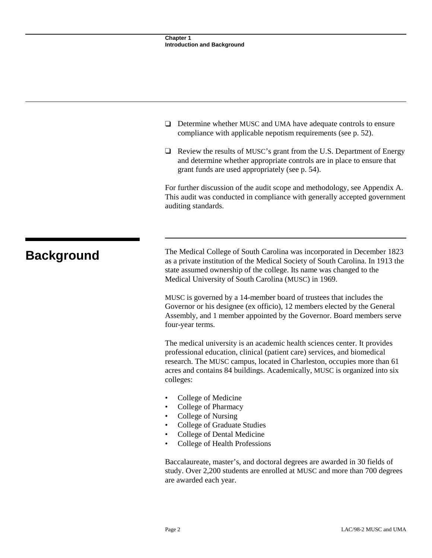|                   | Determine whether MUSC and UMA have adequate controls to ensure<br>⊔<br>compliance with applicable nepotism requirements (see p. 52).<br>Review the results of MUSC's grant from the U.S. Department of Energy<br>$\Box$<br>and determine whether appropriate controls are in place to ensure that                         |
|-------------------|----------------------------------------------------------------------------------------------------------------------------------------------------------------------------------------------------------------------------------------------------------------------------------------------------------------------------|
|                   | grant funds are used appropriately (see p. 54).<br>For further discussion of the audit scope and methodology, see Appendix A.<br>This audit was conducted in compliance with generally accepted government<br>auditing standards.                                                                                          |
| <b>Background</b> | The Medical College of South Carolina was incorporated in December 1823<br>as a private institution of the Medical Society of South Carolina. In 1913 the<br>state assumed ownership of the college. Its name was changed to the<br>Medical University of South Carolina (MUSC) in 1969.                                   |
|                   | MUSC is governed by a 14-member board of trustees that includes the<br>Governor or his designee (ex officio), 12 members elected by the General<br>Assembly, and 1 member appointed by the Governor. Board members serve<br>four-year terms.                                                                               |
|                   | The medical university is an academic health sciences center. It provides<br>professional education, clinical (patient care) services, and biomedical<br>research. The MUSC campus, located in Charleston, occupies more than 61<br>acres and contains 84 buildings. Academically, MUSC is organized into six<br>colleges: |
|                   | College of Medicine<br>College of Pharmacy<br>College of Nursing<br><b>College of Graduate Studies</b><br>College of Dental Medicine<br>College of Health Professions                                                                                                                                                      |
|                   |                                                                                                                                                                                                                                                                                                                            |

Baccalaureate, master's, and doctoral degrees are awarded in 30 fields of study. Over 2,200 students are enrolled at MUSC and more than 700 degrees are awarded each year.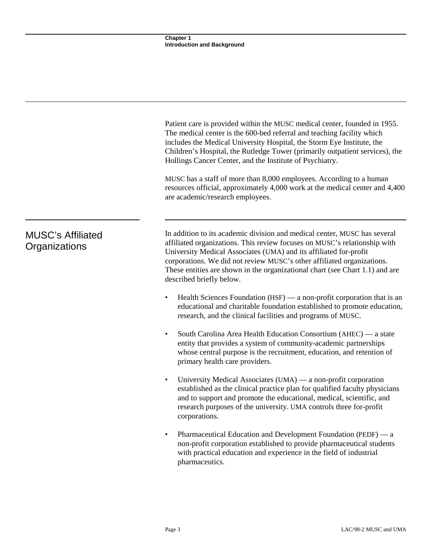Patient care is provided within the MUSC medical center, founded in 1955. The medical center is the 600-bed referral and teaching facility which includes the Medical University Hospital, the Storm Eye Institute, the Children's Hospital, the Rutledge Tower (primarily outpatient services), the Hollings Cancer Center, and the Institute of Psychiatry.

MUSC has a staff of more than 8,000 employees. According to a human resources official, approximately 4,000 work at the medical center and 4,400 are academic/research employees.

In addition to its academic division and medical center, MUSC has several affiliated organizations. This review focuses on MUSC's relationship with University Medical Associates (UMA) and its affiliated for-profit corporations. We did not review MUSC's other affiliated organizations. These entities are shown in the organizational chart (see Chart 1.1) and are described briefly below.

- Health Sciences Foundation (HSF) a non-profit corporation that is an educational and charitable foundation established to promote education, research, and the clinical facilities and programs of MUSC.
- South Carolina Area Health Education Consortium (AHEC) a state entity that provides a system of community-academic partnerships whose central purpose is the recruitment, education, and retention of primary health care providers.
- University Medical Associates (UMA) a non-profit corporation established as the clinical practice plan for qualified faculty physicians and to support and promote the educational, medical, scientific, and research purposes of the university. UMA controls three for-profit corporations.
- Pharmaceutical Education and Development Foundation (PEDF) a non-profit corporation established to provide pharmaceutical students with practical education and experience in the field of industrial pharmaceutics.

## MUSC's Affiliated **Organizations**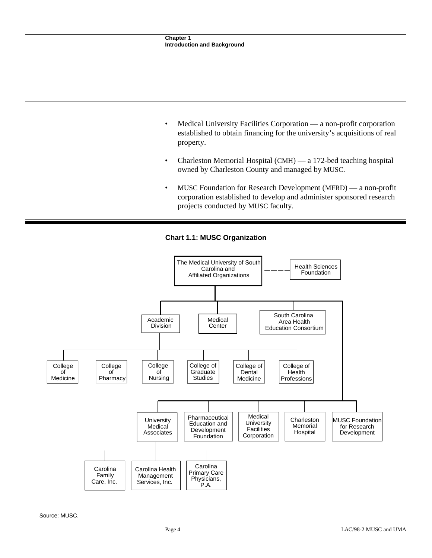- Medical University Facilities Corporation a non-profit corporation established to obtain financing for the university's acquisitions of real property.
- Charleston Memorial Hospital (CMH) a 172-bed teaching hospital owned by Charleston County and managed by MUSC.
- MUSC Foundation for Research Development (MFRD) a non-profit corporation established to develop and administer sponsored research projects conducted by MUSC faculty.



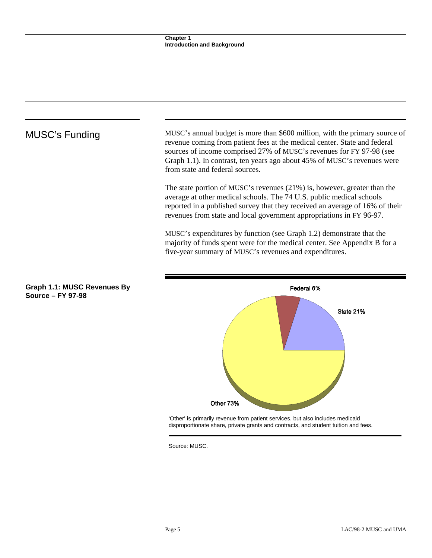## MUSC's Funding MUSC's annual budget is more than \$600 million, with the primary source of revenue coming from patient fees at the medical center. State and federal sources of income comprised 27% of MUSC's revenues for FY 97-98 (see Graph 1.1). In contrast, ten years ago about 45% of MUSC's revenues were from state and federal sources. The state portion of MUSC's revenues (21%) is, however, greater than the average at other medical schools. The 74 U.S. public medical schools reported in a published survey that they received an average of 16% of their revenues from state and local government appropriations in FY 96-97. MUSC's expenditures by function (see Graph 1.2) demonstrate that the majority of funds spent were for the medical center. See Appendix B for a five-year summary of MUSC's revenues and expenditures. **Graph 1.1: MUSC Revenues By** Federal 6% **Source – FY 97-98**State 21%

Other 73%

'Other' is primarily revenue from patient services, but also includes medicaid disproportionate share, private grants and contracts, and student tuition and fees.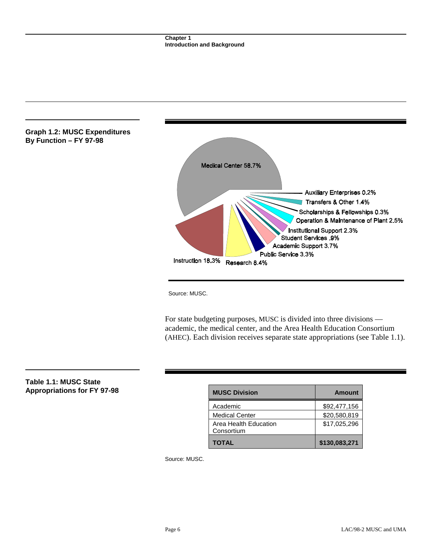

Source: MUSC.

For state budgeting purposes, MUSC is divided into three divisions academic, the medical center, and the Area Health Education Consortium (AHEC). Each division receives separate state appropriations (see Table 1.1).

### **Table 1.1: MUSC State Appropriations for FY 97-98**

| <b>MUSC Division</b>                | <b>Amount</b> |
|-------------------------------------|---------------|
| Academic                            | \$92,477,156  |
| <b>Medical Center</b>               | \$20,580,819  |
| Area Health Education<br>Consortium | \$17,025,296  |
| <b>TOTAL</b>                        | \$130,083,271 |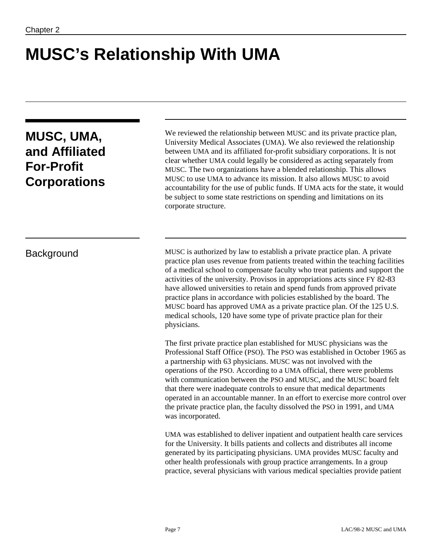# **MUSC's Relationship With UMA**

## **MUSC, UMA, and Affiliated For-Profit Corporations**

We reviewed the relationship between MUSC and its private practice plan, University Medical Associates (UMA). We also reviewed the relationship between UMA and its affiliated for-profit subsidiary corporations. It is not clear whether UMA could legally be considered as acting separately from MUSC. The two organizations have a blended relationship. This allows MUSC to use UMA to advance its mission. It also allows MUSC to avoid accountability for the use of public funds. If UMA acts for the state, it would be subject to some state restrictions on spending and limitations on its corporate structure.

Background MUSC is authorized by law to establish a private practice plan. A private practice plan uses revenue from patients treated within the teaching facilities of a medical school to compensate faculty who treat patients and support the activities of the university. Provisos in appropriations acts since FY 82-83 have allowed universities to retain and spend funds from approved private practice plans in accordance with policies established by the board. The MUSC board has approved UMA as a private practice plan. Of the 125 U.S. medical schools, 120 have some type of private practice plan for their physicians.

> The first private practice plan established for MUSC physicians was the Professional Staff Office (PSO). The PSO was established in October 1965 as a partnership with 63 physicians. MUSC was not involved with the operations of the PSO. According to a UMA official, there were problems with communication between the PSO and MUSC, and the MUSC board felt that there were inadequate controls to ensure that medical departments operated in an accountable manner. In an effort to exercise more control over the private practice plan, the faculty dissolved the PSO in 1991, and UMA was incorporated.

UMA was established to deliver inpatient and outpatient health care services for the University. It bills patients and collects and distributes all income generated by its participating physicians. UMA provides MUSC faculty and other health professionals with group practice arrangements. In a group practice, several physicians with various medical specialties provide patient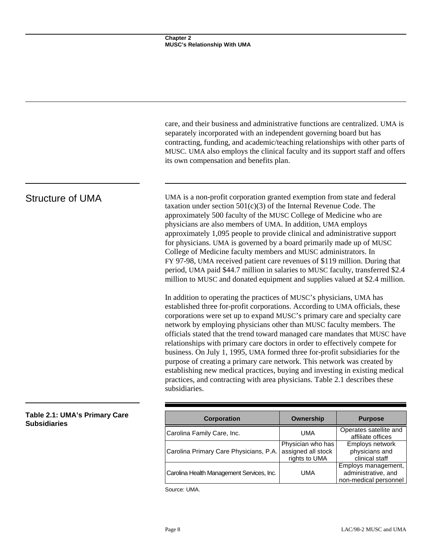|                         | care, and their business and administrative functions are centralized. UMA is<br>separately incorporated with an independent governing board but has<br>contracting, funding, and academic/teaching relationships with other parts of<br>MUSC. UMA also employs the clinical faculty and its support staff and offers<br>its own compensation and benefits plan.                                                                                                                                                                                                                                                                                                                                                                                                                                                 |
|-------------------------|------------------------------------------------------------------------------------------------------------------------------------------------------------------------------------------------------------------------------------------------------------------------------------------------------------------------------------------------------------------------------------------------------------------------------------------------------------------------------------------------------------------------------------------------------------------------------------------------------------------------------------------------------------------------------------------------------------------------------------------------------------------------------------------------------------------|
| <b>Structure of UMA</b> | UMA is a non-profit corporation granted exemption from state and federal<br>taxation under section $501(c)(3)$ of the Internal Revenue Code. The<br>approximately 500 faculty of the MUSC College of Medicine who are<br>physicians are also members of UMA. In addition, UMA employs<br>approximately 1,095 people to provide clinical and administrative support<br>for physicians. UMA is governed by a board primarily made up of MUSC<br>College of Medicine faculty members and MUSC administrators. In<br>FY 97-98, UMA received patient care revenues of \$119 million. During that<br>period, UMA paid \$44.7 million in salaries to MUSC faculty, transferred \$2.4<br>million to MUSC and donated equipment and supplies valued at \$2.4 million.                                                     |
|                         | In addition to operating the practices of MUSC's physicians, UMA has<br>established three for-profit corporations. According to UMA officials, these<br>corporations were set up to expand MUSC's primary care and specialty care<br>network by employing physicians other than MUSC faculty members. The<br>officials stated that the trend toward managed care mandates that MUSC have<br>relationships with primary care doctors in order to effectively compete for<br>business. On July 1, 1995, UMA formed three for-profit subsidiaries for the<br>purpose of creating a primary care network. This network was created by<br>establishing new medical practices, buying and investing in existing medical<br>practices, and contracting with area physicians. Table 2.1 describes these<br>subsidiaries. |

| Table 2.1: UMA's Primary Care<br><b>Subsidiaries</b> | <b>Corporation</b>                        | Ownership                           | <b>Purpose</b>                                                      |
|------------------------------------------------------|-------------------------------------------|-------------------------------------|---------------------------------------------------------------------|
|                                                      | Carolina Family Care, Inc.                | <b>UMA</b>                          | Operates satellite and<br>affiliate offices                         |
|                                                      |                                           | Physician who has                   | Employs network                                                     |
|                                                      | Carolina Primary Care Physicians, P.A.    | assigned all stock<br>rights to UMA | physicians and<br>clinical staff                                    |
|                                                      | Carolina Health Management Services, Inc. | <b>UMA</b>                          | Employs management,<br>administrative, and<br>non-medical personnel |

Source: UMA.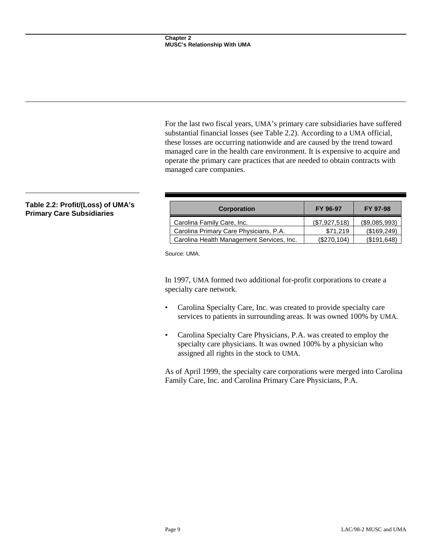For the last two fiscal years, UMA's primary care subsidiaries have suffered substantial financial losses (see Table 2.2). According to a UMA official, these losses are occurring nationwide and are caused by the trend toward managed care in the health care environment. It is expensive to acquire and operate the primary care practices that are needed to obtain contracts with managed care companies.

### **Table 2.2: Profit/(Loss) of UMA's Primary Care Subsidiaries**

| Corporation                               | FY 96-97      | FY 97-98      |
|-------------------------------------------|---------------|---------------|
| Carolina Family Care, Inc.                | (\$7,927,518) | (\$9,085,993) |
| Carolina Primary Care Physicians, P.A.    | \$71.219      | (\$169,249)   |
| Carolina Health Management Services, Inc. | (\$270,104)   | (\$191,648)   |

Source: UMA.

In 1997, UMA formed two additional for-profit corporations to create a specialty care network.

- Carolina Specialty Care, Inc. was created to provide specialty care services to patients in surrounding areas. It was owned 100% by UMA.
- Carolina Specialty Care Physicians, P.A. was created to employ the specialty care physicians. It was owned 100% by a physician who assigned all rights in the stock to UMA.

As of April 1999, the specialty care corporations were merged into Carolina Family Care, Inc. and Carolina Primary Care Physicians, P.A.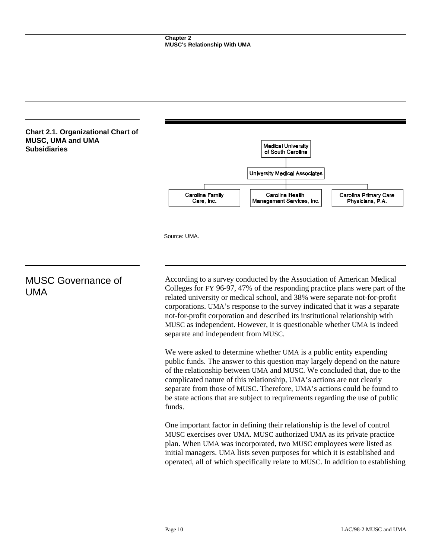

public funds. The answer to this question may largely depend on the nature of the relationship between UMA and MUSC. We concluded that, due to the complicated nature of this relationship, UMA's actions are not clearly separate from those of MUSC. Therefore, UMA's actions could be found to be state actions that are subject to requirements regarding the use of public funds.

One important factor in defining their relationship is the level of control MUSC exercises over UMA. MUSC authorized UMA as its private practice plan. When UMA was incorporated, two MUSC employees were listed as initial managers. UMA lists seven purposes for which it is established and operated, all of which specifically relate to MUSC. In addition to establishing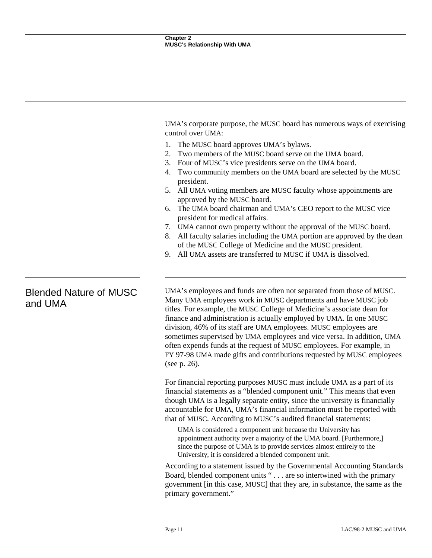UMA's corporate purpose, the MUSC board has numerous ways of exercising control over UMA:

- 1. The MUSC board approves UMA's bylaws.
- 2. Two members of the MUSC board serve on the UMA board.
- 3. Four of MUSC's vice presidents serve on the UMA board.
- 4. Two community members on the UMA board are selected by the MUSC president.
- 5. All UMA voting members are MUSC faculty whose appointments are approved by the MUSC board.
- 6. The UMA board chairman and UMA's CEO report to the MUSC vice president for medical affairs.
- 7. UMA cannot own property without the approval of the MUSC board.
- 8. All faculty salaries including the UMA portion are approved by the dean of the MUSC College of Medicine and the MUSC president.
- 9. All UMA assets are transferred to MUSC if UMA is dissolved.

UMA's employees and funds are often not separated from those of MUSC. Many UMA employees work in MUSC departments and have MUSC job titles. For example, the MUSC College of Medicine's associate dean for finance and administration is actually employed by UMA. In one MUSC division, 46% of its staff are UMA employees. MUSC employees are sometimes supervised by UMA employees and vice versa. In addition, UMA often expends funds at the request of MUSC employees. For example, in FY 97-98 UMA made gifts and contributions requested by MUSC employees (see p. 26).

For financial reporting purposes MUSC must include UMA as a part of its financial statements as a "blended component unit." This means that even though UMA is a legally separate entity, since the university is financially accountable for UMA, UMA's financial information must be reported with that of MUSC. According to MUSC's audited financial statements:

UMA is considered a component unit because the University has appointment authority over a majority of the UMA board. [Furthermore,] since the purpose of UMA is to provide services almost entirely to the University, it is considered a blended component unit.

According to a statement issued by the Governmental Accounting Standards Board, blended component units " . . . are so intertwined with the primary government [in this case, MUSC] that they are, in substance, the same as the primary government."

Blended Nature of MUSC and UMA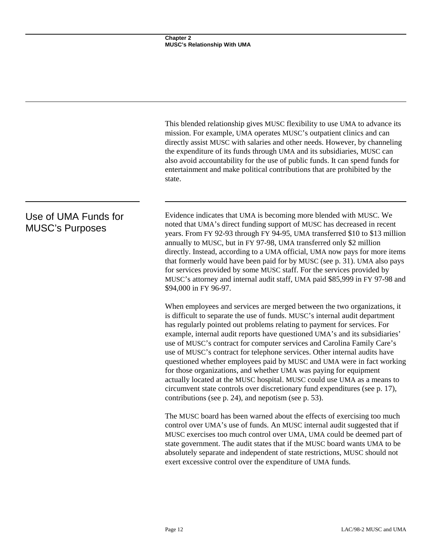|                                                | This blended relationship gives MUSC flexibility to use UMA to advance its<br>mission. For example, UMA operates MUSC's outpatient clinics and can<br>directly assist MUSC with salaries and other needs. However, by channeling<br>the expenditure of its funds through UMA and its subsidiaries, MUSC can<br>also avoid accountability for the use of public funds. It can spend funds for<br>entertainment and make political contributions that are prohibited by the<br>state.                                                                                                                                                                                                                                                                                                                                                         |  |
|------------------------------------------------|---------------------------------------------------------------------------------------------------------------------------------------------------------------------------------------------------------------------------------------------------------------------------------------------------------------------------------------------------------------------------------------------------------------------------------------------------------------------------------------------------------------------------------------------------------------------------------------------------------------------------------------------------------------------------------------------------------------------------------------------------------------------------------------------------------------------------------------------|--|
| Use of UMA Funds for<br><b>MUSC's Purposes</b> | Evidence indicates that UMA is becoming more blended with MUSC. We<br>noted that UMA's direct funding support of MUSC has decreased in recent<br>years. From FY 92-93 through FY 94-95, UMA transferred \$10 to \$13 million<br>annually to MUSC, but in FY 97-98, UMA transferred only \$2 million<br>directly. Instead, according to a UMA official, UMA now pays for more items<br>that formerly would have been paid for by MUSC (see p. 31). UMA also pays<br>for services provided by some MUSC staff. For the services provided by<br>MUSC's attorney and internal audit staff, UMA paid \$85,999 in FY 97-98 and<br>\$94,000 in FY 96-97.                                                                                                                                                                                           |  |
|                                                | When employees and services are merged between the two organizations, it<br>is difficult to separate the use of funds. MUSC's internal audit department<br>has regularly pointed out problems relating to payment for services. For<br>example, internal audit reports have questioned UMA's and its subsidiaries'<br>use of MUSC's contract for computer services and Carolina Family Care's<br>use of MUSC's contract for telephone services. Other internal audits have<br>questioned whether employees paid by MUSC and UMA were in fact working<br>for those organizations, and whether UMA was paying for equipment<br>actually located at the MUSC hospital. MUSC could use UMA as a means to<br>circumvent state controls over discretionary fund expenditures (see p. 17),<br>contributions (see p. 24), and nepotism (see p. 53). |  |
|                                                | The MUSC board has been warned about the effects of exercising too much<br>control over UMA's use of funds. An MUSC internal audit suggested that if<br>MUSC exercises too much control over UMA, UMA could be deemed part of<br>state government. The audit states that if the MUSC board wants UMA to be<br>absolutely separate and independent of state restrictions, MUSC should not<br>exert excessive control over the expenditure of UMA funds.                                                                                                                                                                                                                                                                                                                                                                                      |  |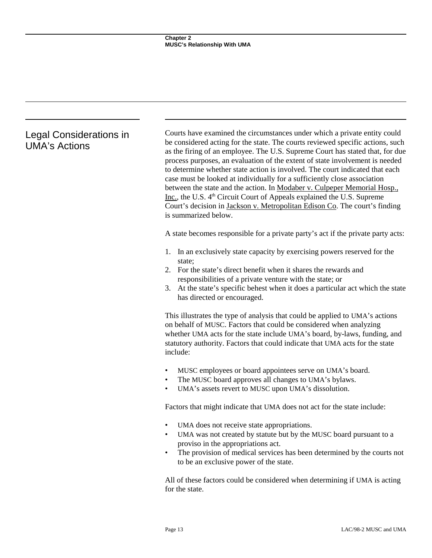## Legal Considerations in UMA's Actions

Courts have examined the circumstances under which a private entity could be considered acting for the state. The courts reviewed specific actions, such as the firing of an employee. The U.S. Supreme Court has stated that, for due process purposes, an evaluation of the extent of state involvement is needed to determine whether state action is involved. The court indicated that each case must be looked at individually for a sufficiently close association between the state and the action. In Modaber v. Culpeper Memorial Hosp., Inc., the U.S. 4<sup>th</sup> Circuit Court of Appeals explained the U.S. Supreme Court's decision in Jackson v. Metropolitan Edison Co. The court's finding is summarized below.

A state becomes responsible for a private party's act if the private party acts:

- 1. In an exclusively state capacity by exercising powers reserved for the state;
- 2. For the state's direct benefit when it shares the rewards and responsibilities of a private venture with the state; or
- 3. At the state's specific behest when it does a particular act which the state has directed or encouraged.

This illustrates the type of analysis that could be applied to UMA's actions on behalf of MUSC. Factors that could be considered when analyzing whether UMA acts for the state include UMA's board, by-laws, funding, and statutory authority. Factors that could indicate that UMA acts for the state include:

- MUSC employees or board appointees serve on UMA's board.
- The MUSC board approves all changes to UMA's bylaws.
- UMA's assets revert to MUSC upon UMA's dissolution.

Factors that might indicate that UMA does not act for the state include:

- UMA does not receive state appropriations.
- UMA was not created by statute but by the MUSC board pursuant to a proviso in the appropriations act.
- The provision of medical services has been determined by the courts not to be an exclusive power of the state.

All of these factors could be considered when determining if UMA is acting for the state.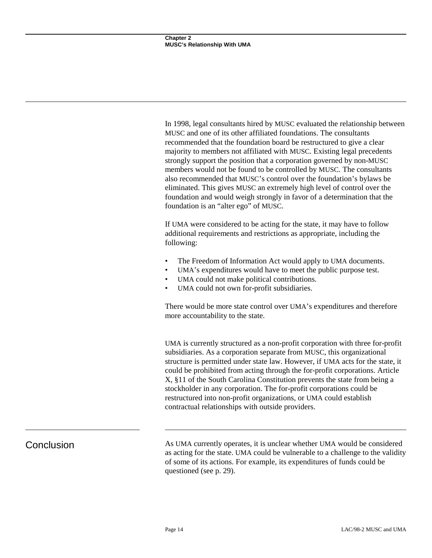In 1998, legal consultants hired by MUSC evaluated the relationship between MUSC and one of its other affiliated foundations. The consultants recommended that the foundation board be restructured to give a clear majority to members not affiliated with MUSC. Existing legal precedents strongly support the position that a corporation governed by non-MUSC members would not be found to be controlled by MUSC. The consultants also recommended that MUSC's control over the foundation's bylaws be eliminated. This gives MUSC an extremely high level of control over the foundation and would weigh strongly in favor of a determination that the foundation is an "alter ego" of MUSC.

If UMA were considered to be acting for the state, it may have to follow additional requirements and restrictions as appropriate, including the following:

- The Freedom of Information Act would apply to UMA documents.
- UMA's expenditures would have to meet the public purpose test.
- UMA could not make political contributions.
- UMA could not own for-profit subsidiaries.

There would be more state control over UMA's expenditures and therefore more accountability to the state.

UMA is currently structured as a non-profit corporation with three for-profit subsidiaries. As a corporation separate from MUSC, this organizational structure is permitted under state law. However, if UMA acts for the state, it could be prohibited from acting through the for-profit corporations. Article X, §11 of the South Carolina Constitution prevents the state from being a stockholder in any corporation. The for-profit corporations could be restructured into non-profit organizations, or UMA could establish contractual relationships with outside providers.

Conclusion As UMA currently operates, it is unclear whether UMA would be considered as acting for the state. UMA could be vulnerable to a challenge to the validity of some of its actions. For example, its expenditures of funds could be questioned (see p. 29).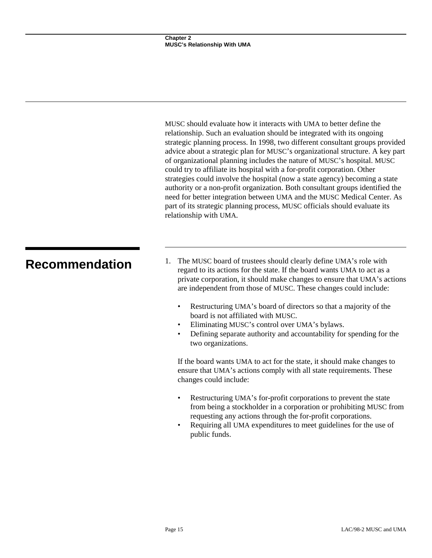MUSC should evaluate how it interacts with UMA to better define the relationship. Such an evaluation should be integrated with its ongoing strategic planning process. In 1998, two different consultant groups provided advice about a strategic plan for MUSC's organizational structure. A key part of organizational planning includes the nature of MUSC's hospital. MUSC could try to affiliate its hospital with a for-profit corporation. Other strategies could involve the hospital (now a state agency) becoming a state authority or a non-profit organization. Both consultant groups identified the need for better integration between UMA and the MUSC Medical Center. As part of its strategic planning process, MUSC officials should evaluate its relationship with UMA.

- **Recommendation** 1. The MUSC board of trustees should clearly define UMA's role with regard to its actions for the state. If the board wants UMA to act as a private corporation, it should make changes to ensure that UMA's actions are independent from those of MUSC. These changes could include:
	- Restructuring UMA's board of directors so that a majority of the board is not affiliated with MUSC.
	- Eliminating MUSC's control over UMA's bylaws.
	- Defining separate authority and accountability for spending for the two organizations.

If the board wants UMA to act for the state, it should make changes to ensure that UMA's actions comply with all state requirements. These changes could include:

- Restructuring UMA's for-profit corporations to prevent the state from being a stockholder in a corporation or prohibiting MUSC from requesting any actions through the for-profit corporations.
- Requiring all UMA expenditures to meet guidelines for the use of public funds.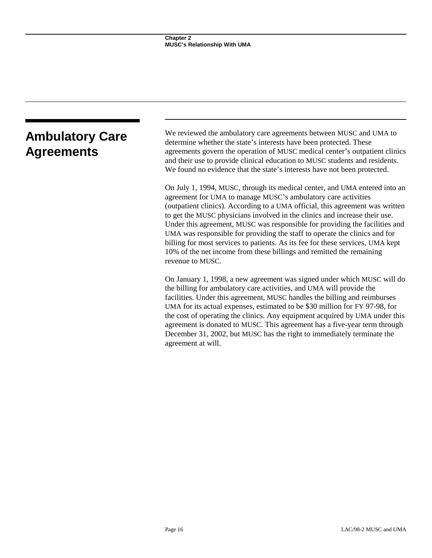### **Ambulatory Care Agreements** We reviewed the ambulatory care agreements between MUSC and UMA to determine whether the state's interests have been protected. These agreements govern the operation of MUSC medical center's outpatient clinics and their use to provide clinical education to MUSC students and residents. We found no evidence that the state's interests have not been protected. On July 1, 1994, MUSC, through its medical center, and UMA entered into an agreement for UMA to manage MUSC's ambulatory care activities (outpatient clinics). According to a UMA official, this agreement was written to get the MUSC physicians involved in the clinics and increase their use. Under this agreement, MUSC was responsible for providing the facilities and UMA was responsible for providing the staff to operate the clinics and for billing for most services to patients. As its fee for these services, UMA kept 10% of the net income from these billings and remitted the remaining revenue to MUSC. On January 1, 1998, a new agreement was signed under which MUSC will do the billing for ambulatory care activities, and UMA will provide the facilities. Under this agreement, MUSC handles the billing and reimburses UMA for its actual expenses, estimated to be \$30 million for FY 97-98, for the cost of operating the clinics. Any equipment acquired by UMA under this agreement is donated to MUSC. This agreement has a five-year term through December 31, 2002, but MUSC has the right to immediately terminate the

agreement at will.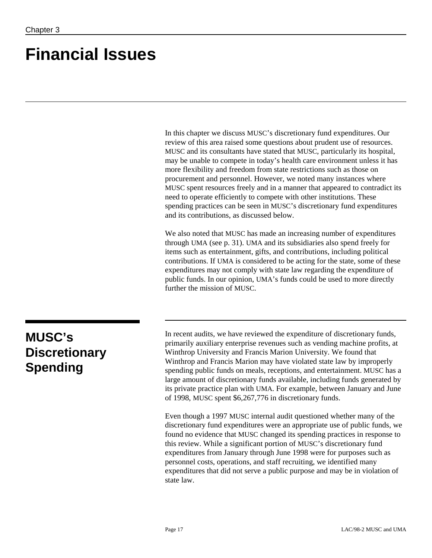# **Financial Issues**

In this chapter we discuss MUSC's discretionary fund expenditures. Our review of this area raised some questions about prudent use of resources. MUSC and its consultants have stated that MUSC, particularly its hospital, may be unable to compete in today's health care environment unless it has more flexibility and freedom from state restrictions such as those on procurement and personnel. However, we noted many instances where MUSC spent resources freely and in a manner that appeared to contradict its need to operate efficiently to compete with other institutions. These spending practices can be seen in MUSC's discretionary fund expenditures and its contributions, as discussed below.

We also noted that MUSC has made an increasing number of expenditures through UMA (see p. 31). UMA and its subsidiaries also spend freely for items such as entertainment, gifts, and contributions, including political contributions. If UMA is considered to be acting for the state, some of these expenditures may not comply with state law regarding the expenditure of public funds. In our opinion, UMA's funds could be used to more directly further the mission of MUSC.

## **MUSC's Discretionary Spending**

In recent audits, we have reviewed the expenditure of discretionary funds, primarily auxiliary enterprise revenues such as vending machine profits, at Winthrop University and Francis Marion University. We found that Winthrop and Francis Marion may have violated state law by improperly spending public funds on meals, receptions, and entertainment. MUSC has a large amount of discretionary funds available, including funds generated by its private practice plan with UMA. For example, between January and June of 1998, MUSC spent \$6,267,776 in discretionary funds.

Even though a 1997 MUSC internal audit questioned whether many of the discretionary fund expenditures were an appropriate use of public funds, we found no evidence that MUSC changed its spending practices in response to this review. While a significant portion of MUSC's discretionary fund expenditures from January through June 1998 were for purposes such as personnel costs, operations, and staff recruiting, we identified many expenditures that did not serve a public purpose and may be in violation of state law.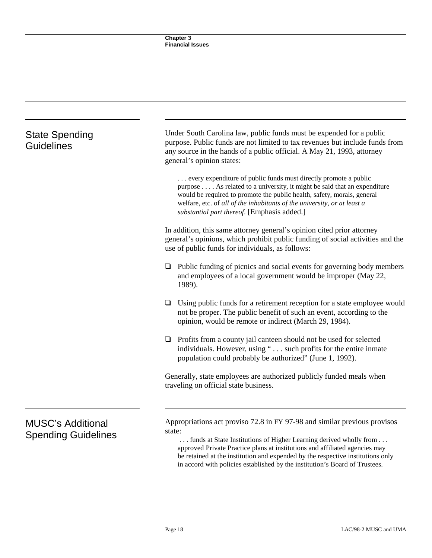| <b>State Spending</b><br><b>Guidelines</b>             | Under South Carolina law, public funds must be expended for a public<br>purpose. Public funds are not limited to tax revenues but include funds from<br>any source in the hands of a public official. A May 21, 1993, attorney<br>general's opinion states:                                                                                        |
|--------------------------------------------------------|----------------------------------------------------------------------------------------------------------------------------------------------------------------------------------------------------------------------------------------------------------------------------------------------------------------------------------------------------|
|                                                        | every expenditure of public funds must directly promote a public<br>purpose As related to a university, it might be said that an expenditure<br>would be required to promote the public health, safety, morals, general<br>welfare, etc. of all of the inhabitants of the university, or at least a<br>substantial part thereof. [Emphasis added.] |
|                                                        | In addition, this same attorney general's opinion cited prior attorney<br>general's opinions, which prohibit public funding of social activities and the<br>use of public funds for individuals, as follows:                                                                                                                                       |
|                                                        | Public funding of picnics and social events for governing body members<br>⊔<br>and employees of a local government would be improper (May 22,<br>1989).                                                                                                                                                                                            |
|                                                        | Using public funds for a retirement reception for a state employee would<br>⊔<br>not be proper. The public benefit of such an event, according to the<br>opinion, would be remote or indirect (March 29, 1984).                                                                                                                                    |
|                                                        | Profits from a county jail canteen should not be used for selected<br>⊔<br>individuals. However, using " such profits for the entire inmate<br>population could probably be authorized" (June 1, 1992).                                                                                                                                            |
|                                                        | Generally, state employees are authorized publicly funded meals when<br>traveling on official state business.                                                                                                                                                                                                                                      |
| <b>MUSC's Additional</b><br><b>Spending Guidelines</b> | Appropriations act proviso 72.8 in FY 97-98 and similar previous provisos<br>state:<br>funds at State Institutions of Higher Learning derived wholly from<br>approved Private Practice plans at institutions and affiliated agencies may<br>be retained at the institution and expended by the respective institutions only                        |

in accord with policies established by the institution's Board of Trustees.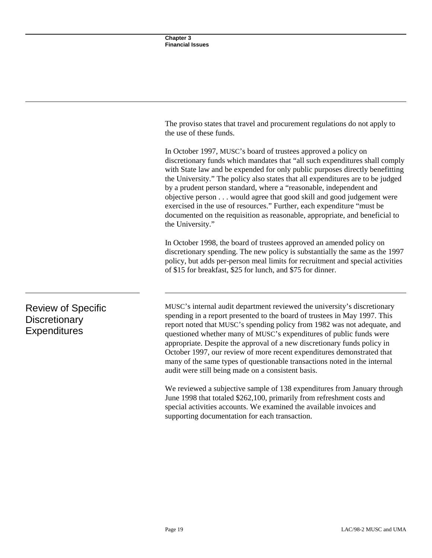The proviso states that travel and procurement regulations do not apply to the use of these funds.

In October 1997, MUSC's board of trustees approved a policy on discretionary funds which mandates that "all such expenditures shall comply with State law and be expended for only public purposes directly benefitting the University." The policy also states that all expenditures are to be judged by a prudent person standard, where a "reasonable, independent and objective person . . . would agree that good skill and good judgement were exercised in the use of resources." Further, each expenditure "must be documented on the requisition as reasonable, appropriate, and beneficial to the University."

In October 1998, the board of trustees approved an amended policy on discretionary spending. The new policy is substantially the same as the 1997 policy, but adds per-person meal limits for recruitment and special activities of \$15 for breakfast, \$25 for lunch, and \$75 for dinner.

MUSC's internal audit department reviewed the university's discretionary spending in a report presented to the board of trustees in May 1997. This report noted that MUSC's spending policy from 1982 was not adequate, and questioned whether many of MUSC's expenditures of public funds were appropriate. Despite the approval of a new discretionary funds policy in October 1997, our review of more recent expenditures demonstrated that many of the same types of questionable transactions noted in the internal audit were still being made on a consistent basis.

We reviewed a subjective sample of 138 expenditures from January through June 1998 that totaled \$262,100, primarily from refreshment costs and special activities accounts. We examined the available invoices and supporting documentation for each transaction.

Review of Specific **Discretionary** Expenditures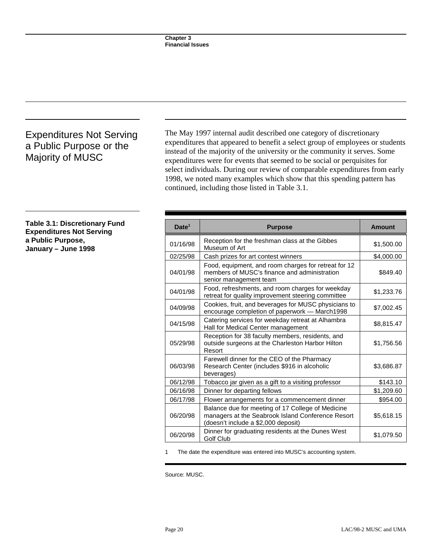## Expenditures Not Serving a Public Purpose or the Majority of MUSC

The May 1997 internal audit described one category of discretionary expenditures that appeared to benefit a select group of employees or students instead of the majority of the university or the community it serves. Some expenditures were for events that seemed to be social or perquisites for select individuals. During our review of comparable expenditures from early 1998, we noted many examples which show that this spending pattern has continued, including those listed in Table 3.1.

**Table 3.1: Discretionary Fund Expenditures Not Serving a Public Purpose, January – June 1998**

| Date <sup>1</sup> | <b>Purpose</b>                                                                                                                                | Amount     |
|-------------------|-----------------------------------------------------------------------------------------------------------------------------------------------|------------|
| 01/16/98          | Reception for the freshman class at the Gibbes<br>Museum of Art                                                                               | \$1,500.00 |
| 02/25/98          | Cash prizes for art contest winners                                                                                                           | \$4,000.00 |
| 04/01/98          | Food, equipment, and room charges for retreat for 12<br>members of MUSC's finance and administration<br>senior management team                | \$849.40   |
| 04/01/98          | Food, refreshments, and room charges for weekday<br>retreat for quality improvement steering committee                                        | \$1,233.76 |
| 04/09/98          | Cookies, fruit, and beverages for MUSC physicians to<br>encourage completion of paperwork - March1998                                         | \$7,002.45 |
| 04/15/98          | Catering services for weekday retreat at Alhambra<br>Hall for Medical Center management                                                       | \$8,815.47 |
| 05/29/98          | Reception for 38 faculty members, residents, and<br>outside surgeons at the Charleston Harbor Hilton<br>Resort                                | \$1,756.56 |
| 06/03/98          | Farewell dinner for the CEO of the Pharmacy<br>Research Center (includes \$916 in alcoholic<br>beverages)                                     | \$3,686.87 |
| 06/12/98          | Tobacco jar given as a gift to a visiting professor                                                                                           | \$143.10   |
| 06/16/98          | Dinner for departing fellows                                                                                                                  | \$1,209.60 |
| 06/17/98          | Flower arrangements for a commencement dinner                                                                                                 | \$954.00   |
| 06/20/98          | Balance due for meeting of 17 College of Medicine<br>managers at the Seabrook Island Conference Resort<br>(doesn't include a \$2,000 deposit) | \$5,618.15 |
| 06/20/98          | Dinner for graduating residents at the Dunes West<br><b>Golf Club</b>                                                                         | \$1,079.50 |

1 The date the expenditure was entered into MUSC's accounting system.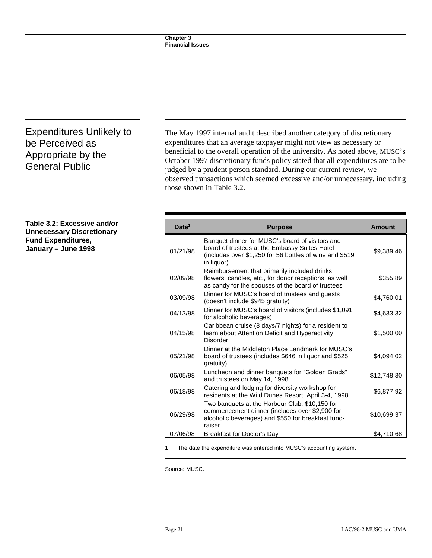## Expenditures Unlikely to be Perceived as Appropriate by the General Public

The May 1997 internal audit described another category of discretionary expenditures that an average taxpayer might not view as necessary or beneficial to the overall operation of the university. As noted above, MUSC's October 1997 discretionary funds policy stated that all expenditures are to be judged by a prudent person standard. During our current review, we observed transactions which seemed excessive and/or unnecessary, including those shown in Table 3.2.

**Table 3.2: Excessive and/or Unnecessary Discretionary Fund Expenditures, January – June 1998**

| Date <sup>1</sup> | <b>Purpose</b>                                                                                                                                                            | <b>Amount</b> |
|-------------------|---------------------------------------------------------------------------------------------------------------------------------------------------------------------------|---------------|
| 01/21/98          | Banquet dinner for MUSC's board of visitors and<br>board of trustees at the Embassy Suites Hotel<br>(includes over \$1,250 for 56 bottles of wine and \$519<br>in liquor) | \$9,389.46    |
| 02/09/98          | Reimbursement that primarily included drinks,<br>flowers, candles, etc., for donor receptions, as well<br>as candy for the spouses of the board of trustees               | \$355.89      |
| 03/09/98          | Dinner for MUSC's board of trustees and guests<br>doesn't include \$945 gratuity)                                                                                         | \$4,760.01    |
| 04/13/98          | Dinner for MUSC's board of visitors (includes \$1,091<br>for alcoholic beverages)                                                                                         | \$4,633.32    |
| 04/15/98          | Caribbean cruise (8 days/7 nights) for a resident to<br>learn about Attention Deficit and Hyperactivity<br>Disorder                                                       | \$1,500.00    |
| 05/21/98          | Dinner at the Middleton Place Landmark for MUSC's<br>board of trustees (includes \$646 in liquor and \$525<br>gratuity)                                                   | \$4,094.02    |
| 06/05/98          | Luncheon and dinner banquets for "Golden Grads"<br>and trustees on May 14, 1998                                                                                           | \$12,748.30   |
| 06/18/98          | Catering and lodging for diversity workshop for<br>residents at the Wild Dunes Resort, April 3-4, 1998                                                                    | \$6.877.92    |
| 06/29/98          | Two banquets at the Harbour Club: \$10,150 for<br>commencement dinner (includes over \$2,900 for<br>alcoholic beverages) and \$550 for breakfast fund-<br>raiser          | \$10,699.37   |
| 07/06/98          | Breakfast for Doctor's Day                                                                                                                                                | \$4,710.68    |

1 The date the expenditure was entered into MUSC's accounting system.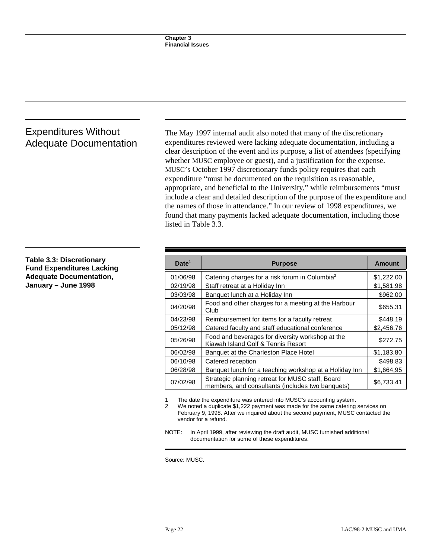### Expenditures Without Adequate Documentation

The May 1997 internal audit also noted that many of the discretionary expenditures reviewed were lacking adequate documentation, including a clear description of the event and its purpose, a list of attendees (specifying whether MUSC employee or guest), and a justification for the expense. MUSC's October 1997 discretionary funds policy requires that each expenditure "must be documented on the requisition as reasonable, appropriate, and beneficial to the University," while reimbursements "must include a clear and detailed description of the purpose of the expenditure and the names of those in attendance." In our review of 1998 expenditures, we found that many payments lacked adequate documentation, including those listed in Table 3.3.

### **Table 3.3: Discretionary Fund Expenditures Lacking Adequate Documentation, January – June 1998**

| Date <sup>1</sup> | <b>Purpose</b>                                                                                       | <b>Amount</b> |
|-------------------|------------------------------------------------------------------------------------------------------|---------------|
| 01/06/98          | Catering charges for a risk forum in Columbia <sup>2</sup>                                           | \$1,222.00    |
| 02/19/98          | Staff retreat at a Holiday Inn                                                                       | \$1,581.98    |
| 03/03/98          | Banquet lunch at a Holiday Inn                                                                       | \$962.00      |
| 04/20/98          | Food and other charges for a meeting at the Harbour<br>Club                                          | \$655.31      |
| 04/23/98          | Reimbursement for items for a faculty retreat                                                        | \$448.19      |
| 05/12/98          | Catered faculty and staff educational conference                                                     | \$2,456.76    |
| 05/26/98          | Food and beverages for diversity workshop at the<br>Kiawah Island Golf & Tennis Resort               | \$272.75      |
| 06/02/98          | Banquet at the Charleston Place Hotel                                                                | \$1,183.80    |
| 06/10/98          | Catered reception                                                                                    | \$498.83      |
| 06/28/98          | Banquet lunch for a teaching workshop at a Holiday Inn                                               | \$1,664,95    |
| 07/02/98          | Strategic planning retreat for MUSC staff, Board<br>members, and consultants (includes two banquets) | \$6,733.41    |

The date the expenditure was entered into MUSC's accounting system.

2 We noted a duplicate \$1,222 payment was made for the same catering services on February 9, 1998. After we inquired about the second payment, MUSC contacted the vendor for a refund.

NOTE: In April 1999, after reviewing the draft audit, MUSC furnished additional documentation for some of these expenditures.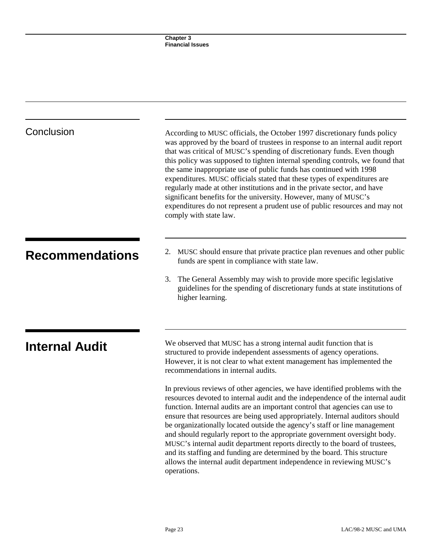| Conclusion             | According to MUSC officials, the October 1997 discretionary funds policy<br>was approved by the board of trustees in response to an internal audit report<br>that was critical of MUSC's spending of discretionary funds. Even though<br>this policy was supposed to tighten internal spending controls, we found that<br>the same inappropriate use of public funds has continued with 1998<br>expenditures. MUSC officials stated that these types of expenditures are<br>regularly made at other institutions and in the private sector, and have<br>significant benefits for the university. However, many of MUSC's<br>expenditures do not represent a prudent use of public resources and may not<br>comply with state law.         |  |  |
|------------------------|-------------------------------------------------------------------------------------------------------------------------------------------------------------------------------------------------------------------------------------------------------------------------------------------------------------------------------------------------------------------------------------------------------------------------------------------------------------------------------------------------------------------------------------------------------------------------------------------------------------------------------------------------------------------------------------------------------------------------------------------|--|--|
| <b>Recommendations</b> | MUSC should ensure that private practice plan revenues and other public<br>2.<br>funds are spent in compliance with state law.<br>The General Assembly may wish to provide more specific legislative<br>3.<br>guidelines for the spending of discretionary funds at state institutions of<br>higher learning.                                                                                                                                                                                                                                                                                                                                                                                                                             |  |  |
|                        |                                                                                                                                                                                                                                                                                                                                                                                                                                                                                                                                                                                                                                                                                                                                           |  |  |
| <b>Internal Audit</b>  | We observed that MUSC has a strong internal audit function that is<br>structured to provide independent assessments of agency operations.<br>However, it is not clear to what extent management has implemented the<br>recommendations in internal audits.                                                                                                                                                                                                                                                                                                                                                                                                                                                                                |  |  |
|                        | In previous reviews of other agencies, we have identified problems with the<br>resources devoted to internal audit and the independence of the internal audit<br>function. Internal audits are an important control that agencies can use to<br>ensure that resources are being used appropriately. Internal auditors should<br>be organizationally located outside the agency's staff or line management<br>and should regularly report to the appropriate government oversight body.<br>MUSC's internal audit department reports directly to the board of trustees,<br>and its staffing and funding are determined by the board. This structure<br>allows the internal audit department independence in reviewing MUSC's<br>operations. |  |  |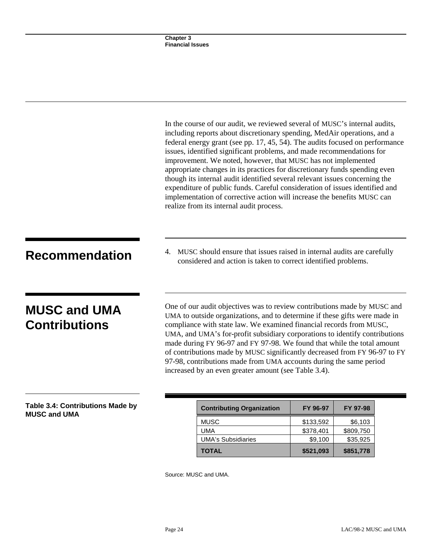|                                                         | In the course of our audit, we reviewed several of MUSC's internal audits,<br>including reports about discretionary spending, MedAir operations, and a<br>federal energy grant (see pp. 17, 45, 54). The audits focused on performance<br>issues, identified significant problems, and made recommendations for<br>improvement. We noted, however, that MUSC has not implemented<br>appropriate changes in its practices for discretionary funds spending even<br>though its internal audit identified several relevant issues concerning the<br>expenditure of public funds. Careful consideration of issues identified and<br>implementation of corrective action will increase the benefits MUSC can<br>realize from its internal audit process. |                       |                     |  |  |  |
|---------------------------------------------------------|-----------------------------------------------------------------------------------------------------------------------------------------------------------------------------------------------------------------------------------------------------------------------------------------------------------------------------------------------------------------------------------------------------------------------------------------------------------------------------------------------------------------------------------------------------------------------------------------------------------------------------------------------------------------------------------------------------------------------------------------------------|-----------------------|---------------------|--|--|--|
| <b>Recommendation</b>                                   | MUSC should ensure that issues raised in internal audits are carefully<br>4.<br>considered and action is taken to correct identified problems.                                                                                                                                                                                                                                                                                                                                                                                                                                                                                                                                                                                                      |                       |                     |  |  |  |
| <b>MUSC and UMA</b><br><b>Contributions</b>             | One of our audit objectives was to review contributions made by MUSC and<br>UMA to outside organizations, and to determine if these gifts were made in<br>compliance with state law. We examined financial records from MUSC,<br>UMA, and UMA's for-profit subsidiary corporations to identify contributions<br>made during FY 96-97 and FY 97-98. We found that while the total amount<br>of contributions made by MUSC significantly decreased from FY 96-97 to FY<br>97-98, contributions made from UMA accounts during the same period<br>increased by an even greater amount (see Table 3.4).                                                                                                                                                  |                       |                     |  |  |  |
| Table 3.4: Contributions Made by<br><b>MUSC and UMA</b> | <b>Contributing Organization</b><br><b>MUSC</b>                                                                                                                                                                                                                                                                                                                                                                                                                                                                                                                                                                                                                                                                                                     | FY 96-97<br>\$133,592 | FY 97-98<br>\$6,103 |  |  |  |
|                                                         | <b>UMA</b>                                                                                                                                                                                                                                                                                                                                                                                                                                                                                                                                                                                                                                                                                                                                          | \$378,401             | \$809,750           |  |  |  |

Source: MUSC and UMA.

UMA's Subsidiaries **\$9,100** \$35,925 **TOTAL \$521,093** \$851,778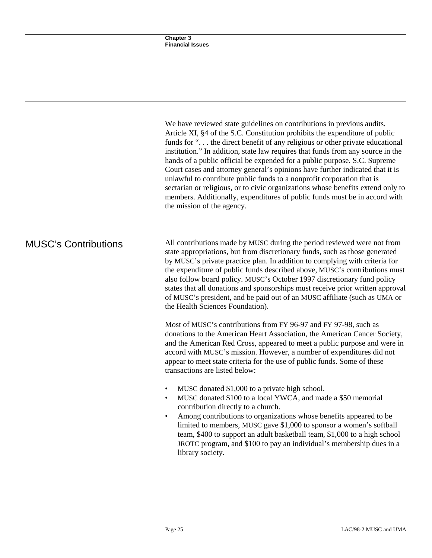We have reviewed state guidelines on contributions in previous audits. Article XI, §4 of the S.C. Constitution prohibits the expenditure of public funds for "... the direct benefit of any religious or other private educational institution." In addition, state law requires that funds from any source in the hands of a public official be expended for a public purpose. S.C. Supreme Court cases and attorney general's opinions have further indicated that it is unlawful to contribute public funds to a nonprofit corporation that is sectarian or religious, or to civic organizations whose benefits extend only to members. Additionally, expenditures of public funds must be in accord with the mission of the agency.

MUSC's Contributions All contributions made by MUSC during the period reviewed were not from state appropriations, but from discretionary funds, such as those generated by MUSC's private practice plan. In addition to complying with criteria for the expenditure of public funds described above, MUSC's contributions must also follow board policy. MUSC's October 1997 discretionary fund policy states that all donations and sponsorships must receive prior written approval of MUSC's president, and be paid out of an MUSC affiliate (such as UMA or the Health Sciences Foundation).

> Most of MUSC's contributions from FY 96-97 and FY 97-98, such as donations to the American Heart Association, the American Cancer Society, and the American Red Cross, appeared to meet a public purpose and were in accord with MUSC's mission. However, a number of expenditures did not appear to meet state criteria for the use of public funds. Some of these transactions are listed below:

- MUSC donated \$1,000 to a private high school.
- MUSC donated \$100 to a local YWCA, and made a \$50 memorial contribution directly to a church.
- Among contributions to organizations whose benefits appeared to be limited to members, MUSC gave \$1,000 to sponsor a women's softball team, \$400 to support an adult basketball team, \$1,000 to a high school JROTC program, and \$100 to pay an individual's membership dues in a library society.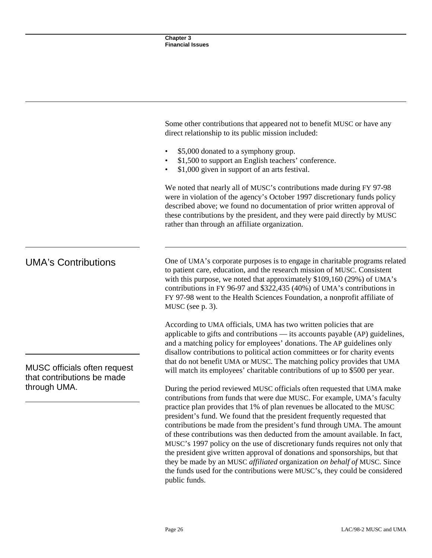Some other contributions that appeared not to benefit MUSC or have any direct relationship to its public mission included: • \$5,000 donated to a symphony group. • \$1,500 to support an English teachers' conference. • \$1,000 given in support of an arts festival. We noted that nearly all of MUSC's contributions made during FY 97-98 were in violation of the agency's October 1997 discretionary funds policy described above; we found no documentation of prior written approval of these contributions by the president, and they were paid directly by MUSC rather than through an affiliate organization. UMA's Contributions One of UMA's corporate purposes is to engage in charitable programs related to patient care, education, and the research mission of MUSC. Consistent with this purpose, we noted that approximately \$109,160 (29%) of UMA's contributions in FY 96-97 and \$322,435 (40%) of UMA's contributions in FY 97-98 went to the Health Sciences Foundation, a nonprofit affiliate of MUSC (see p. 3). MUSC officials often request that contributions be made through UMA. According to UMA officials, UMA has two written policies that are applicable to gifts and contributions — its accounts payable (AP) guidelines, and a matching policy for employees' donations. The AP guidelines only disallow contributions to political action committees or for charity events that do not benefit UMA or MUSC. The matching policy provides that UMA will match its employees' charitable contributions of up to \$500 per year. During the period reviewed MUSC officials often requested that UMA make contributions from funds that were due MUSC. For example, UMA's faculty practice plan provides that 1% of plan revenues be allocated to the MUSC president's fund. We found that the president frequently requested that contributions be made from the president's fund through UMA. The amount of these contributions was then deducted from the amount available. In fact, MUSC's 1997 policy on the use of discretionary funds requires not only that the president give written approval of donations and sponsorships, but that they be made by an MUSC *affiliated* organization *on behalf of* MUSC. Since the funds used for the contributions were MUSC's, they could be considered public funds.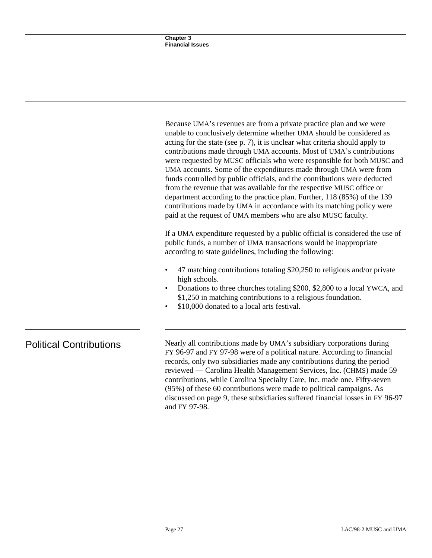Because UMA's revenues are from a private practice plan and we were unable to conclusively determine whether UMA should be considered as acting for the state (see p. 7), it is unclear what criteria should apply to contributions made through UMA accounts. Most of UMA's contributions were requested by MUSC officials who were responsible for both MUSC and UMA accounts. Some of the expenditures made through UMA were from funds controlled by public officials, and the contributions were deducted from the revenue that was available for the respective MUSC office or department according to the practice plan. Further, 118 (85%) of the 139 contributions made by UMA in accordance with its matching policy were paid at the request of UMA members who are also MUSC faculty.

If a UMA expenditure requested by a public official is considered the use of public funds, a number of UMA transactions would be inappropriate according to state guidelines, including the following:

- 47 matching contributions totaling \$20,250 to religious and/or private high schools.
- Donations to three churches totaling \$200, \$2,800 to a local YWCA, and \$1,250 in matching contributions to a religious foundation.
- \$10,000 donated to a local arts festival.

Political Contributions Nearly all contributions made by UMA's subsidiary corporations during FY 96-97 and FY 97-98 were of a political nature. According to financial records, only two subsidiaries made any contributions during the period reviewed — Carolina Health Management Services, Inc. (CHMS) made 59 contributions, while Carolina Specialty Care, Inc. made one. Fifty-seven (95%) of these 60 contributions were made to political campaigns. As discussed on page 9, these subsidiaries suffered financial losses in FY 96-97 and FY 97-98.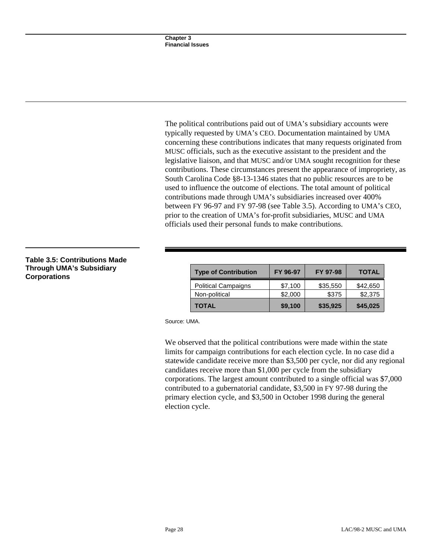The political contributions paid out of UMA's subsidiary accounts were typically requested by UMA's CEO. Documentation maintained by UMA concerning these contributions indicates that many requests originated from MUSC officials, such as the executive assistant to the president and the legislative liaison, and that MUSC and/or UMA sought recognition for these contributions. These circumstances present the appearance of impropriety, as South Carolina Code §8-13-1346 states that no public resources are to be used to influence the outcome of elections. The total amount of political contributions made through UMA's subsidiaries increased over 400% between FY 96-97 and FY 97-98 (see Table 3.5). According to UMA's CEO, prior to the creation of UMA's for-profit subsidiaries, MUSC and UMA officials used their personal funds to make contributions.

## **Table 3.5: Contributions Made Through UMA's Subsidiary**

| Through UMA's Subsidiary<br><b>Corporations</b> | <b>Type of Contribution</b> | FY 96-97 | FY 97-98 | <b>TOTAL</b> |
|-------------------------------------------------|-----------------------------|----------|----------|--------------|
|                                                 | <b>Political Campaigns</b>  | \$7.100  | \$35,550 | \$42,650     |
|                                                 | Non-political               | \$2,000  | \$375    | \$2,375      |
|                                                 | <b>TOTAL</b>                | \$9,100  | \$35,925 | \$45,025     |

Source: UMA.

We observed that the political contributions were made within the state limits for campaign contributions for each election cycle. In no case did a statewide candidate receive more than \$3,500 per cycle, nor did any regional candidates receive more than \$1,000 per cycle from the subsidiary corporations. The largest amount contributed to a single official was \$7,000 contributed to a gubernatorial candidate, \$3,500 in FY 97-98 during the primary election cycle, and \$3,500 in October 1998 during the general election cycle.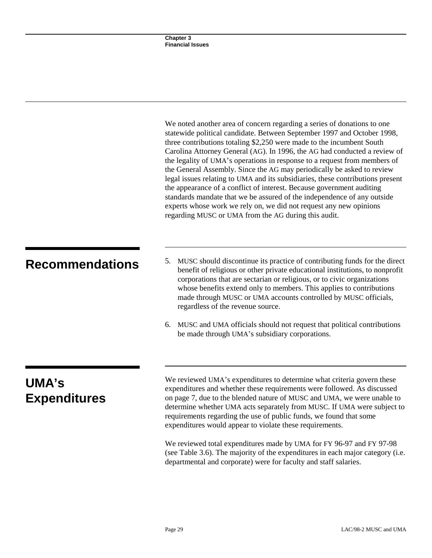We noted another area of concern regarding a series of donations to one statewide political candidate. Between September 1997 and October 1998, three contributions totaling \$2,250 were made to the incumbent South Carolina Attorney General (AG). In 1996, the AG had conducted a review of the legality of UMA's operations in response to a request from members of the General Assembly. Since the AG may periodically be asked to review legal issues relating to UMA and its subsidiaries, these contributions present the appearance of a conflict of interest. Because government auditing standards mandate that we be assured of the independence of any outside experts whose work we rely on*,* we did not request any new opinions regarding MUSC or UMA from the AG during this audit.

- **Recommendations** 5. MUSC should discontinue its practice of contributing funds for the direct benefit of religious or other private educational institutions, to nonprofit corporations that are sectarian or religious, or to civic organizations whose benefits extend only to members. This applies to contributions made through MUSC or UMA accounts controlled by MUSC officials, regardless of the revenue source.
	- 6. MUSC and UMA officials should not request that political contributions be made through UMA's subsidiary corporations.

## **UMA's Expenditures**

We reviewed UMA's expenditures to determine what criteria govern these expenditures and whether these requirements were followed. As discussed on page 7, due to the blended nature of MUSC and UMA, we were unable to determine whether UMA acts separately from MUSC. If UMA were subject to requirements regarding the use of public funds, we found that some expenditures would appear to violate these requirements.

We reviewed total expenditures made by UMA for FY 96-97 and FY 97-98 (see Table 3.6). The majority of the expenditures in each major category (i.e. departmental and corporate) were for faculty and staff salaries.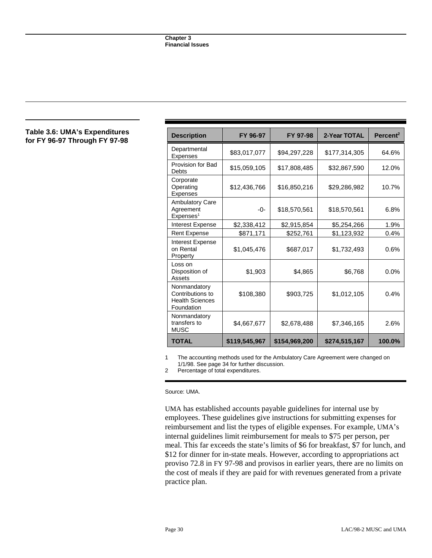### **Table 3.6: UMA's Expenditures for FY 96-97 Through FY 97-98**

| <b>Description</b>                                                       | FY 96-97      | FY 97-98      | 2-Year TOTAL  | Percent <sup>2</sup> |
|--------------------------------------------------------------------------|---------------|---------------|---------------|----------------------|
| Departmental<br><b>Expenses</b>                                          | \$83,017,077  | \$94,297,228  | \$177,314,305 | 64.6%                |
| Provision for Bad<br><b>Debts</b>                                        | \$15,059,105  | \$17,808,485  | \$32,867,590  | 12.0%                |
| Corporate<br>Operating<br><b>Expenses</b>                                | \$12,436,766  | \$16,850,216  | \$29,286,982  | 10.7%                |
| <b>Ambulatory Care</b><br>Agreement<br>Expenses <sup>1</sup>             | $-0-$         | \$18,570,561  | \$18,570,561  | 6.8%                 |
| Interest Expense                                                         | \$2,338,412   | \$2,915,854   | \$5,254,266   | 1.9%                 |
| <b>Rent Expense</b>                                                      | \$871,171     | \$252,761     | \$1,123,932   | 0.4%                 |
| Interest Expense<br>on Rental<br>Property                                | \$1,045,476   | \$687,017     | \$1,732,493   | 0.6%                 |
| Loss on<br>Disposition of<br>Assets                                      | \$1,903       | \$4,865       | \$6,768       | 0.0%                 |
| Nonmandatory<br>Contributions to<br><b>Health Sciences</b><br>Foundation | \$108,380     | \$903,725     | \$1,012,105   | 0.4%                 |
| Nonmandatory<br>transfers to<br><b>MUSC</b>                              | \$4,667,677   | \$2,678,488   | \$7,346,165   | 2.6%                 |
| <b>TOTAL</b>                                                             | \$119,545,967 | \$154.969.200 | \$274,515,167 | 100.0%               |

1 The accounting methods used for the Ambulatory Care Agreement were changed on 1/1/98. See page 34 for further discussion.

2 Percentage of total expenditures.

Source: UMA.

UMA has established accounts payable guidelines for internal use by employees. These guidelines give instructions for submitting expenses for reimbursement and list the types of eligible expenses. For example, UMA's internal guidelines limit reimbursement for meals to \$75 per person, per meal. This far exceeds the state's limits of \$6 for breakfast, \$7 for lunch, and \$12 for dinner for in-state meals. However, according to appropriations act proviso 72.8 in FY 97-98 and provisos in earlier years, there are no limits on the cost of meals if they are paid for with revenues generated from a private practice plan.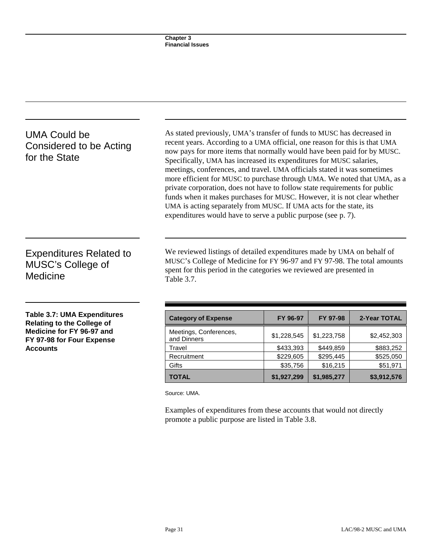| <b>UMA Could be</b>     |
|-------------------------|
| Considered to be Acting |
| for the State           |

As stated previously, UMA's transfer of funds to MUSC has decreased in recent years. According to a UMA official, one reason for this is that UMA now pays for more items that normally would have been paid for by MUSC. Specifically, UMA has increased its expenditures for MUSC salaries, meetings, conferences, and travel. UMA officials stated it was sometimes more efficient for MUSC to purchase through UMA. We noted that UMA, as a private corporation, does not have to follow state requirements for public funds when it makes purchases for MUSC. However, it is not clear whether UMA is acting separately from MUSC. If UMA acts for the state, its expenditures would have to serve a public purpose (see p. 7).

Expenditures Related to MUSC's College of Medicine

We reviewed listings of detailed expenditures made by UMA on behalf of MUSC's College of Medicine for FY 96-97 and FY 97-98. The total amounts spent for this period in the categories we reviewed are presented in Table 3.7.

**Table 3.7: UMA Expenditures Relating to the College of Medicine for FY 96-97 and FY 97-98 for Four Expense Accounts**

| <b>Category of Expense</b>            | FY 96-97    | FY 97-98    | 2-Year TOTAL |
|---------------------------------------|-------------|-------------|--------------|
| Meetings, Conferences,<br>and Dinners | \$1,228,545 | \$1,223,758 | \$2,452,303  |
| Travel                                | \$433,393   | \$449,859   | \$883,252    |
| Recruitment                           | \$229,605   | \$295,445   | \$525,050    |
| Gifts                                 | \$35,756    | \$16,215    | \$51,971     |
| <b>TOTAL</b>                          | \$1,927,299 | \$1,985,277 | \$3,912,576  |

Source: UMA.

Examples of expenditures from these accounts that would not directly promote a public purpose are listed in Table 3.8.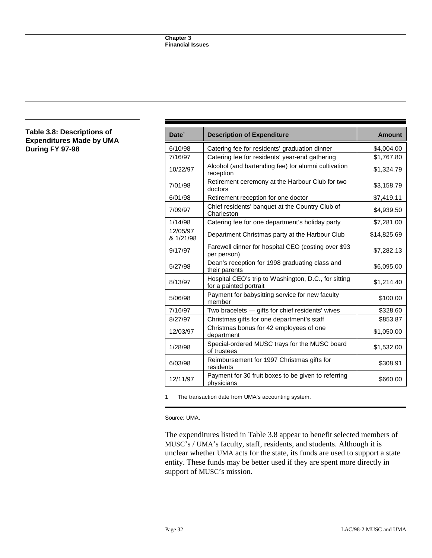### **Table 3.8: Descriptions of Expenditures Made by UMA During FY 97-98**

| Date <sup>1</sup>     | <b>Description of Expenditure</b>                                              | <b>Amount</b> |
|-----------------------|--------------------------------------------------------------------------------|---------------|
| 6/10/98               | Catering fee for residents' graduation dinner                                  | \$4,004.00    |
| 7/16/97               | Catering fee for residents' year-end gathering                                 | \$1,767.80    |
| 10/22/97              | Alcohol (and bartending fee) for alumni cultivation<br>reception               | \$1,324.79    |
| 7/01/98               | Retirement ceremony at the Harbour Club for two<br>doctors                     | \$3,158.79    |
| 6/01/98               | Retirement reception for one doctor                                            | \$7,419.11    |
| 7/09/97               | Chief residents' banquet at the Country Club of<br>Charleston                  | \$4,939.50    |
| 1/14/98               | Catering fee for one department's holiday party                                | \$7,281.00    |
| 12/05/97<br>& 1/21/98 | Department Christmas party at the Harbour Club                                 | \$14,825.69   |
| 9/17/97               | Farewell dinner for hospital CEO (costing over \$93<br>per person)             | \$7,282.13    |
| 5/27/98               | Dean's reception for 1998 graduating class and<br>their parents                | \$6,095.00    |
| 8/13/97               | Hospital CEO's trip to Washington, D.C., for sitting<br>for a painted portrait | \$1,214.40    |
| 5/06/98               | Payment for babysitting service for new faculty<br>member                      | \$100.00      |
| 7/16/97               | Two bracelets - gifts for chief residents' wives                               | \$328.60      |
| 8/27/97               | Christmas gifts for one department's staff                                     | \$853.87      |
| 12/03/97              | Christmas bonus for 42 employees of one<br>department                          | \$1,050.00    |
| 1/28/98               | Special-ordered MUSC trays for the MUSC board<br>of trustees                   | \$1,532.00    |
| 6/03/98               | Reimbursement for 1997 Christmas gifts for<br>residents                        | \$308.91      |
| 12/11/97              | Payment for 30 fruit boxes to be given to referring<br>physicians              | \$660.00      |

1 The transaction date from UMA's accounting system.

Source: UMA.

The expenditures listed in Table 3.8 appear to benefit selected members of MUSC's / UMA's faculty, staff, residents, and students. Although it is unclear whether UMA acts for the state, its funds are used to support a state entity. These funds may be better used if they are spent more directly in support of MUSC's mission.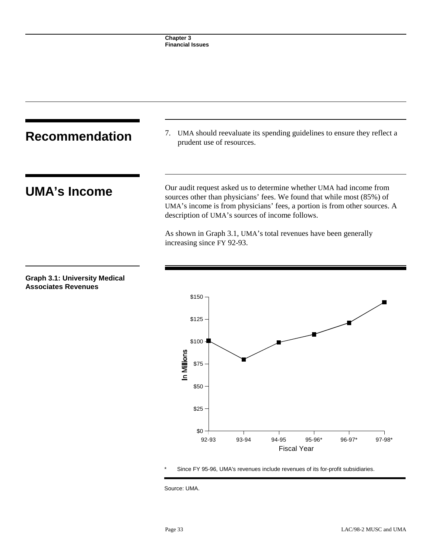



Since FY 95-96, UMA's revenues include revenues of its for-profit subsidiaries.

Source: UMA.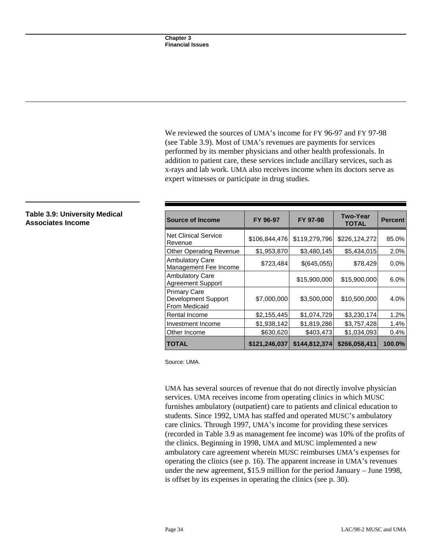We reviewed the sources of UMA's income for FY 96-97 and FY 97-98 (see Table 3.9). Most of UMA's revenues are payments for services performed by its member physicians and other health professionals. In addition to patient care, these services include ancillary services, such as x-rays and lab work. UMA also receives income when its doctors serve as expert witnesses or participate in drug studies.

| <b>Table 3.9: University Medical</b><br><b>Associates Income</b> | <b>Source of Income</b>                                     | FY 96-97      | FY 97-98      | <b>Two-Year</b><br><b>TOTAL</b> | <b>Percent</b> |
|------------------------------------------------------------------|-------------------------------------------------------------|---------------|---------------|---------------------------------|----------------|
|                                                                  | <b>Net Clinical Service</b><br>Revenue                      | \$106,844,476 | \$119,279,796 | \$226,124,272                   | 85.0%          |
|                                                                  | <b>Other Operating Revenue</b>                              | \$1,953,870   | \$3,480,145   | \$5,434,015                     | 2.0%           |
|                                                                  | <b>Ambulatory Care</b><br>Management Fee Income             | \$723,484     | \$(645,055)   | \$78,429                        | $0.0\%$        |
|                                                                  | <b>Ambulatory Care</b><br><b>Agreement Support</b>          |               | \$15,900,000  | \$15,900,000                    | 6.0%           |
|                                                                  | <b>Primary Care</b><br>Development Support<br>From Medicaid | \$7,000,000   | \$3,500,000   | \$10,500,000                    | 4.0%           |
|                                                                  | Rental Income                                               | \$2,155,445   | \$1,074,729   | \$3,230,174                     | 1.2%           |
|                                                                  | Investment Income                                           | \$1,938,142   | \$1,819,286   | \$3,757,428                     | 1.4%           |
|                                                                  | Other Income                                                | \$630.620     | \$403.473     | \$1.034.093                     | 0.4%           |
|                                                                  | <b>TOTAL</b>                                                | \$121,246,037 | \$144,812,374 | \$266,058,411                   | 100.0%         |

Source: UMA.

UMA has several sources of revenue that do not directly involve physician services. UMA receives income from operating clinics in which MUSC furnishes ambulatory (outpatient) care to patients and clinical education to students. Since 1992, UMA has staffed and operated MUSC's ambulatory care clinics. Through 1997, UMA's income for providing these services (recorded in Table 3.9 as management fee income) was 10% of the profits of the clinics. Beginning in 1998, UMA and MUSC implemented a new ambulatory care agreement wherein MUSC reimburses UMA's expenses for operating the clinics (see p. 16). The apparent increase in UMA's revenues under the new agreement, \$15.9 million for the period January – June 1998, is offset by its expenses in operating the clinics (see p. 30).

## **Table 3.9: University Medical**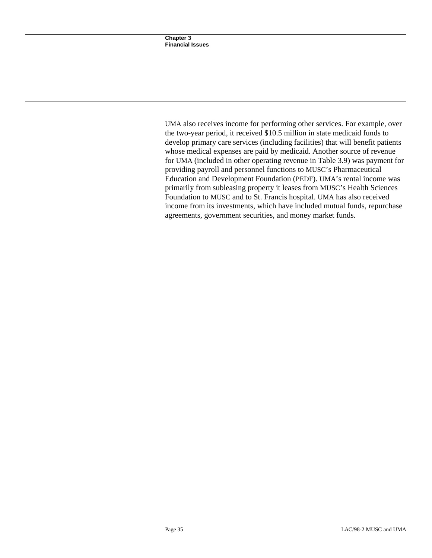UMA also receives income for performing other services. For example, over the two-year period, it received \$10.5 million in state medicaid funds to develop primary care services (including facilities) that will benefit patients whose medical expenses are paid by medicaid. Another source of revenue for UMA (included in other operating revenue in Table 3.9) was payment for providing payroll and personnel functions to MUSC's Pharmaceutical Education and Development Foundation (PEDF). UMA's rental income was primarily from subleasing property it leases from MUSC's Health Sciences Foundation to MUSC and to St. Francis hospital. UMA has also received income from its investments, which have included mutual funds, repurchase agreements, government securities, and money market funds.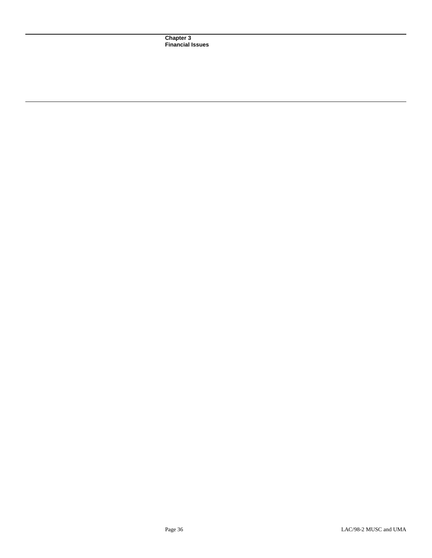**Chapter 3 Financial Issues**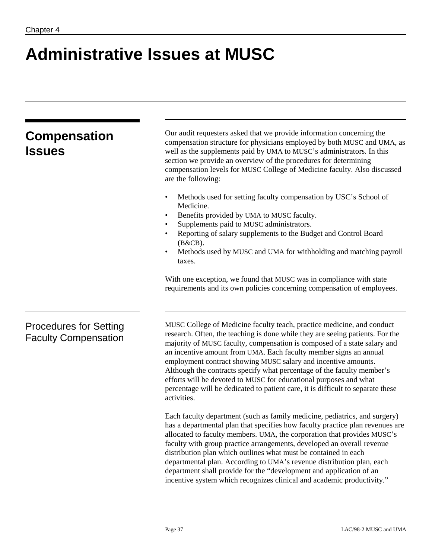# **Administrative Issues at MUSC**

| <b>Compensation</b><br><b>Issues</b>                         | Our audit requesters asked that we provide information concerning the<br>compensation structure for physicians employed by both MUSC and UMA, as<br>well as the supplements paid by UMA to MUSC's administrators. In this<br>section we provide an overview of the procedures for determining<br>compensation levels for MUSC College of Medicine faculty. Also discussed<br>are the following:                                                                                                                                                                                                                             |
|--------------------------------------------------------------|-----------------------------------------------------------------------------------------------------------------------------------------------------------------------------------------------------------------------------------------------------------------------------------------------------------------------------------------------------------------------------------------------------------------------------------------------------------------------------------------------------------------------------------------------------------------------------------------------------------------------------|
|                                                              | Methods used for setting faculty compensation by USC's School of<br>Medicine.<br>Benefits provided by UMA to MUSC faculty.<br>Supplements paid to MUSC administrators.<br>Reporting of salary supplements to the Budget and Control Board<br>$\bullet$<br>(B&CB).<br>Methods used by MUSC and UMA for withholding and matching payroll<br>taxes.                                                                                                                                                                                                                                                                            |
|                                                              | With one exception, we found that MUSC was in compliance with state<br>requirements and its own policies concerning compensation of employees.                                                                                                                                                                                                                                                                                                                                                                                                                                                                              |
| <b>Procedures for Setting</b><br><b>Faculty Compensation</b> | MUSC College of Medicine faculty teach, practice medicine, and conduct<br>research. Often, the teaching is done while they are seeing patients. For the<br>majority of MUSC faculty, compensation is composed of a state salary and<br>an incentive amount from UMA. Each faculty member signs an annual<br>employment contract showing MUSC salary and incentive amounts.<br>Although the contracts specify what percentage of the faculty member's<br>efforts will be devoted to MUSC for educational purposes and what<br>percentage will be dedicated to patient care, it is difficult to separate these<br>activities. |
|                                                              | Each faculty department (such as family medicine, pediatrics, and surgery)<br>has a departmental plan that specifies how faculty practice plan revenues are<br>allocated to faculty members. UMA, the corporation that provides MUSC's<br>faculty with group practice arrangements, developed an overall revenue<br>distribution plan which outlines what must be contained in each<br>departmental plan. According to UMA's revenue distribution plan, each<br>department shall provide for the "development and application of an<br>incentive system which recognizes clinical and academic productivity."               |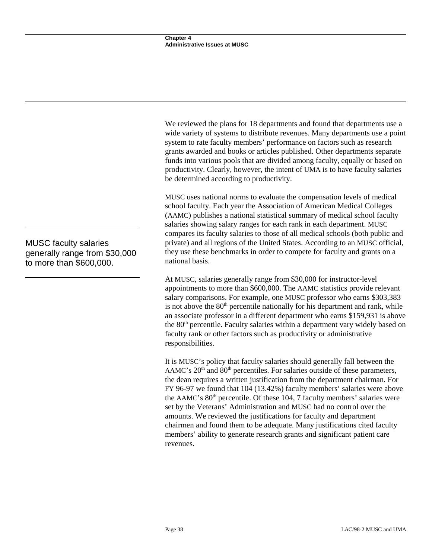We reviewed the plans for 18 departments and found that departments use a wide variety of systems to distribute revenues. Many departments use a point system to rate faculty members' performance on factors such as research grants awarded and books or articles published. Other departments separate funds into various pools that are divided among faculty, equally or based on productivity. Clearly, however, the intent of UMA is to have faculty salaries be determined according to productivity.

MUSC uses national norms to evaluate the compensation levels of medical school faculty. Each year the Association of American Medical Colleges (AAMC) publishes a national statistical summary of medical school faculty salaries showing salary ranges for each rank in each department. MUSC compares its faculty salaries to those of all medical schools (both public and private) and all regions of the United States. According to an MUSC official, they use these benchmarks in order to compete for faculty and grants on a national basis.

At MUSC, salaries generally range from \$30,000 for instructor-level appointments to more than \$600,000. The AAMC statistics provide relevant salary comparisons. For example, one MUSC professor who earns \$303,383 is not above the  $80<sup>th</sup>$  percentile nationally for his department and rank, while an associate professor in a different department who earns \$159,931 is above the 80<sup>th</sup> percentile. Faculty salaries within a department vary widely based on faculty rank or other factors such as productivity or administrative responsibilities.

It is MUSC's policy that faculty salaries should generally fall between the AAMC's  $20<sup>th</sup>$  and  $80<sup>th</sup>$  percentiles. For salaries outside of these parameters, the dean requires a written justification from the department chairman. For FY 96-97 we found that 104 (13.42%) faculty members' salaries were above the AAMC's  $80<sup>th</sup>$  percentile. Of these 104, 7 faculty members' salaries were set by the Veterans' Administration and MUSC had no control over the amounts. We reviewed the justifications for faculty and department chairmen and found them to be adequate. Many justifications cited faculty members' ability to generate research grants and significant patient care revenues.

MUSC faculty salaries generally range from \$30,000 to more than \$600,000.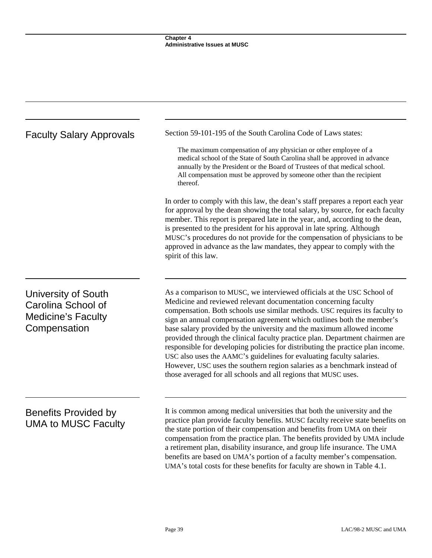| <b>Faculty Salary Approvals</b>                                                        | Section 59-101-195 of the South Carolina Code of Laws states:                                                                                                                                                                                                                                                                                                                                                                                                                                                                                                                                                                                                                                                                                                       |
|----------------------------------------------------------------------------------------|---------------------------------------------------------------------------------------------------------------------------------------------------------------------------------------------------------------------------------------------------------------------------------------------------------------------------------------------------------------------------------------------------------------------------------------------------------------------------------------------------------------------------------------------------------------------------------------------------------------------------------------------------------------------------------------------------------------------------------------------------------------------|
|                                                                                        | The maximum compensation of any physician or other employee of a<br>medical school of the State of South Carolina shall be approved in advance<br>annually by the President or the Board of Trustees of that medical school.<br>All compensation must be approved by someone other than the recipient<br>thereof.                                                                                                                                                                                                                                                                                                                                                                                                                                                   |
|                                                                                        | In order to comply with this law, the dean's staff prepares a report each year<br>for approval by the dean showing the total salary, by source, for each faculty<br>member. This report is prepared late in the year, and, according to the dean,<br>is presented to the president for his approval in late spring. Although<br>MUSC's procedures do not provide for the compensation of physicians to be<br>approved in advance as the law mandates, they appear to comply with the<br>spirit of this law.                                                                                                                                                                                                                                                         |
| University of South<br>Carolina School of<br><b>Medicine's Faculty</b><br>Compensation | As a comparison to MUSC, we interviewed officials at the USC School of<br>Medicine and reviewed relevant documentation concerning faculty<br>compensation. Both schools use similar methods. USC requires its faculty to<br>sign an annual compensation agreement which outlines both the member's<br>base salary provided by the university and the maximum allowed income<br>provided through the clinical faculty practice plan. Department chairmen are<br>responsible for developing policies for distributing the practice plan income.<br>USC also uses the AAMC's guidelines for evaluating faculty salaries.<br>However, USC uses the southern region salaries as a benchmark instead of<br>those averaged for all schools and all regions that MUSC uses. |
| <b>Benefits Provided by</b><br><b>UMA to MUSC Faculty</b>                              | It is common among medical universities that both the university and the<br>practice plan provide faculty benefits. MUSC faculty receive state benefits on<br>the state portion of their compensation and benefits from UMA on their<br>compensation from the practice plan. The benefits provided by UMA include<br>a retirement plan, disability insurance, and group life insurance. The UMA<br>benefits are based on UMA's portion of a faculty member's compensation.<br>UMA's total costs for these benefits for faculty are shown in Table 4.1.                                                                                                                                                                                                              |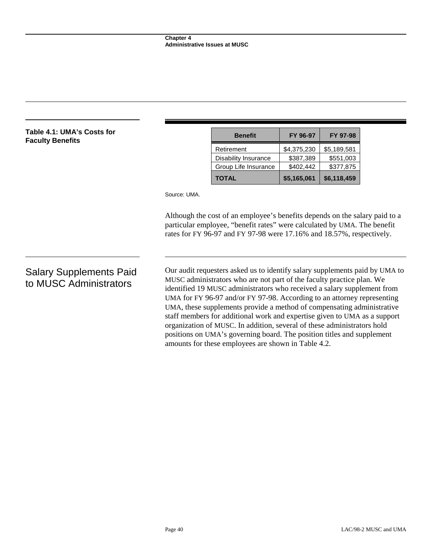| Table 4.1: UMA's Costs for<br><b>Faculty Benefits</b>    |              | <b>Benefit</b>                                                                                                                                                                                                                                                                                             | FY 96-97    | FY 97-98    |  |
|----------------------------------------------------------|--------------|------------------------------------------------------------------------------------------------------------------------------------------------------------------------------------------------------------------------------------------------------------------------------------------------------------|-------------|-------------|--|
|                                                          |              | Retirement                                                                                                                                                                                                                                                                                                 | \$4,375,230 | \$5,189,581 |  |
|                                                          |              | Disability Insurance                                                                                                                                                                                                                                                                                       | \$387,389   | \$551,003   |  |
|                                                          |              | Group Life Insurance                                                                                                                                                                                                                                                                                       | \$402,442   | \$377,875   |  |
|                                                          |              | <b>TOTAL</b>                                                                                                                                                                                                                                                                                               | \$5,165,061 | \$6,118,459 |  |
|                                                          | Source: UMA. |                                                                                                                                                                                                                                                                                                            |             |             |  |
|                                                          |              | Although the cost of an employee's benefits depends on the salary paid to a<br>particular employee, "benefit rates" were calculated by UMA. The benefit<br>rates for FY 96-97 and FY 97-98 were 17.16% and 18.57%, respectively.                                                                           |             |             |  |
| <b>Salary Supplements Paid</b><br>to MUSC Administrators |              | Our audit requesters asked us to identify salary supplements paid by UMA to<br>MUSC administrators who are not part of the faculty practice plan. We<br>identified 19 MUSC administrators who received a salary supplement from<br>UMA for FY 96-97 and/or FY 97-98. According to an attorney representing |             |             |  |

UMA, these supplements provide a method of compensating administrative staff members for additional work and expertise given to UMA as a support organization of MUSC. In addition, several of these administrators hold positions on UMA's governing board. The position titles and supplement

amounts for these employees are shown in Table 4.2.

Page 40 LAC/98-2 MUSC and UMA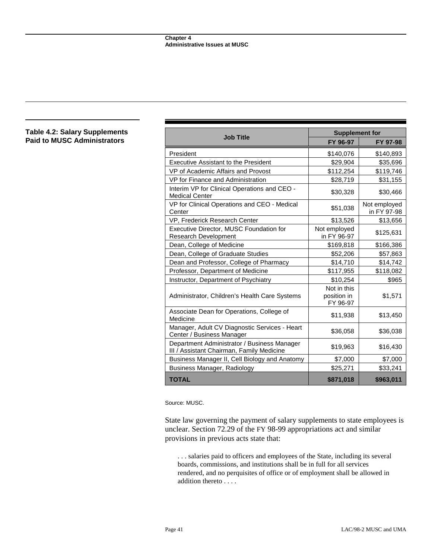### **Table 4.2: Salary Supplements Paid to MUSC Administrators**

|                                                                                          | <b>Supplement for</b>                  |                             |  |
|------------------------------------------------------------------------------------------|----------------------------------------|-----------------------------|--|
| <b>Job Title</b>                                                                         | FY 96-97                               | FY 97-98                    |  |
| President                                                                                | \$140,076                              | \$140,893                   |  |
| <b>Executive Assistant to the President</b>                                              | \$29,904                               | \$35,696                    |  |
| VP of Academic Affairs and Provost                                                       | \$112,254                              | \$119,746                   |  |
| VP for Finance and Administration                                                        | \$28,719                               | \$31,155                    |  |
| Interim VP for Clinical Operations and CEO -<br><b>Medical Center</b>                    | \$30,328                               | \$30,466                    |  |
| VP for Clinical Operations and CEO - Medical<br>Center                                   | \$51,038                               | Not employed<br>in FY 97-98 |  |
| VP, Frederick Research Center                                                            | \$13,526                               | \$13,656                    |  |
| Executive Director, MUSC Foundation for<br><b>Research Development</b>                   | Not employed<br>in FY 96-97            | \$125,631                   |  |
| Dean, College of Medicine                                                                | \$169,818                              | \$166,386                   |  |
| Dean, College of Graduate Studies                                                        | \$52,206                               | \$57,863                    |  |
| Dean and Professor, College of Pharmacy                                                  | \$14,710                               | \$14,742                    |  |
| Professor, Department of Medicine                                                        | \$117,955                              | \$118,082                   |  |
| Instructor, Department of Psychiatry                                                     | \$10,254                               | \$965                       |  |
| Administrator, Children's Health Care Systems                                            | Not in this<br>position in<br>FY 96-97 | \$1,571                     |  |
| Associate Dean for Operations, College of<br>Medicine                                    | \$11,938                               | \$13,450                    |  |
| Manager, Adult CV Diagnostic Services - Heart<br>Center / Business Manager               | \$36,058                               | \$36,038                    |  |
| Department Administrator / Business Manager<br>III / Assistant Chairman, Family Medicine | \$19,963                               | \$16,430                    |  |
| Business Manager II, Cell Biology and Anatomy                                            | \$7,000                                | \$7,000                     |  |
| Business Manager, Radiology                                                              | \$25,271                               | \$33,241                    |  |
| <b>TOTAL</b>                                                                             | \$871,018                              | \$963,011                   |  |

Source: MUSC.

State law governing the payment of salary supplements to state employees is unclear. Section 72.29 of the FY 98-99 appropriations act and similar provisions in previous acts state that:

. . . salaries paid to officers and employees of the State, including its several boards, commissions, and institutions shall be in full for all services rendered, and no perquisites of office or of employment shall be allowed in addition thereto . . . .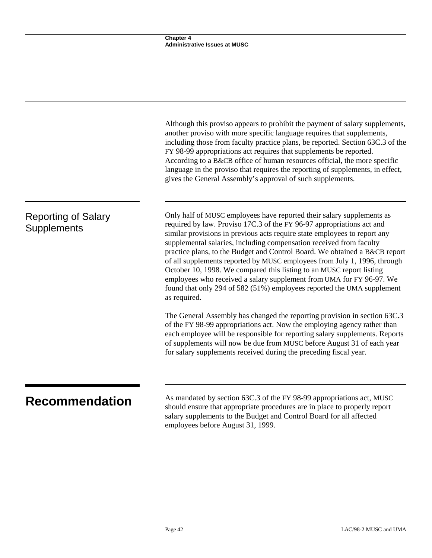|                                                  | Although this proviso appears to prohibit the payment of salary supplements,<br>another proviso with more specific language requires that supplements,<br>including those from faculty practice plans, be reported. Section 63C.3 of the<br>FY 98-99 appropriations act requires that supplements be reported.<br>According to a B&CB office of human resources official, the more specific<br>language in the proviso that requires the reporting of supplements, in effect,<br>gives the General Assembly's approval of such supplements.                                                                                                                                                            |
|--------------------------------------------------|--------------------------------------------------------------------------------------------------------------------------------------------------------------------------------------------------------------------------------------------------------------------------------------------------------------------------------------------------------------------------------------------------------------------------------------------------------------------------------------------------------------------------------------------------------------------------------------------------------------------------------------------------------------------------------------------------------|
| <b>Reporting of Salary</b><br><b>Supplements</b> | Only half of MUSC employees have reported their salary supplements as<br>required by law. Proviso 17C.3 of the FY 96-97 appropriations act and<br>similar provisions in previous acts require state employees to report any<br>supplemental salaries, including compensation received from faculty<br>practice plans, to the Budget and Control Board. We obtained a B&CB report<br>of all supplements reported by MUSC employees from July 1, 1996, through<br>October 10, 1998. We compared this listing to an MUSC report listing<br>employees who received a salary supplement from UMA for FY 96-97. We<br>found that only 294 of 582 (51%) employees reported the UMA supplement<br>as required. |
|                                                  | The General Assembly has changed the reporting provision in section 63C.3<br>of the FY 98-99 appropriations act. Now the employing agency rather than<br>each employee will be responsible for reporting salary supplements. Reports<br>of supplements will now be due from MUSC before August 31 of each year<br>for salary supplements received during the preceding fiscal year.                                                                                                                                                                                                                                                                                                                    |
| <b>Recommendation</b>                            | As mandated by section 63C.3 of the FY 98-99 appropriations act, MUSC<br>should ensure that appropriate procedures are in place to properly report<br>salary supplements to the Budget and Control Board for all affected<br>employees before August 31, 1999.                                                                                                                                                                                                                                                                                                                                                                                                                                         |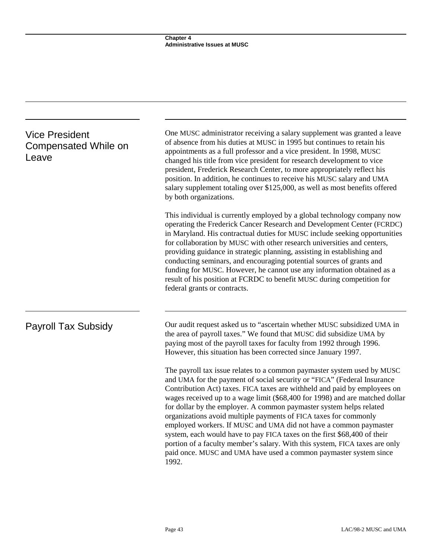| <b>Vice President</b><br>Compensated While on<br>Leave | One MUSC administrator receiving a salary supplement was granted a leave<br>of absence from his duties at MUSC in 1995 but continues to retain his<br>appointments as a full professor and a vice president. In 1998, MUSC<br>changed his title from vice president for research development to vice<br>president, Frederick Research Center, to more appropriately reflect his<br>position. In addition, he continues to receive his MUSC salary and UMA<br>salary supplement totaling over \$125,000, as well as most benefits offered<br>by both organizations.                                                                                                                                                                                                                                                          |
|--------------------------------------------------------|-----------------------------------------------------------------------------------------------------------------------------------------------------------------------------------------------------------------------------------------------------------------------------------------------------------------------------------------------------------------------------------------------------------------------------------------------------------------------------------------------------------------------------------------------------------------------------------------------------------------------------------------------------------------------------------------------------------------------------------------------------------------------------------------------------------------------------|
|                                                        | This individual is currently employed by a global technology company now<br>operating the Frederick Cancer Research and Development Center (FCRDC)<br>in Maryland. His contractual duties for MUSC include seeking opportunities<br>for collaboration by MUSC with other research universities and centers,<br>providing guidance in strategic planning, assisting in establishing and<br>conducting seminars, and encouraging potential sources of grants and<br>funding for MUSC. However, he cannot use any information obtained as a<br>result of his position at FCRDC to benefit MUSC during competition for<br>federal grants or contracts.                                                                                                                                                                          |
| <b>Payroll Tax Subsidy</b>                             | Our audit request asked us to "ascertain whether MUSC subsidized UMA in<br>the area of payroll taxes." We found that MUSC did subsidize UMA by<br>paying most of the payroll taxes for faculty from 1992 through 1996.<br>However, this situation has been corrected since January 1997.<br>The payroll tax issue relates to a common paymaster system used by MUSC<br>and UMA for the payment of social security or "FICA" (Federal Insurance<br>Contribution Act) taxes. FICA taxes are withheld and paid by employees on<br>wages received up to a wage limit (\$68,400 for 1998) and are matched dollar<br>for dollar by the employer. A common paymaster system helps related<br>organizations avoid multiple payments of FICA taxes for commonly<br>employed workers. If MUSC and UMA did not have a common paymaster |
|                                                        | system, each would have to pay FICA taxes on the first \$68,400 of their<br>portion of a faculty member's salary. With this system, FICA taxes are only<br>paid once. MUSC and UMA have used a common paymaster system since<br>1992.                                                                                                                                                                                                                                                                                                                                                                                                                                                                                                                                                                                       |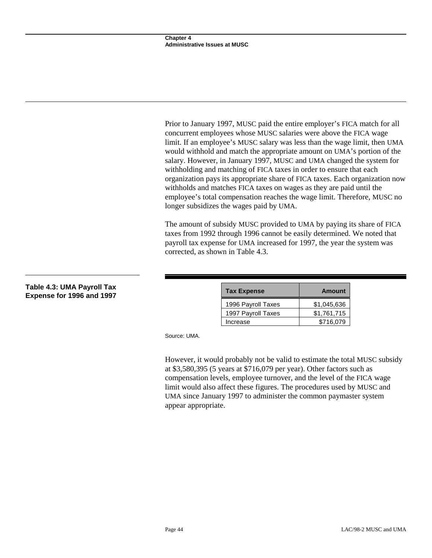Prior to January 1997, MUSC paid the entire employer's FICA match for all concurrent employees whose MUSC salaries were above the FICA wage limit. If an employee's MUSC salary was less than the wage limit, then UMA would withhold and match the appropriate amount on UMA's portion of the salary. However, in January 1997, MUSC and UMA changed the system for withholding and matching of FICA taxes in order to ensure that each organization pays its appropriate share of FICA taxes. Each organization now withholds and matches FICA taxes on wages as they are paid until the employee's total compensation reaches the wage limit. Therefore, MUSC no longer subsidizes the wages paid by UMA.

The amount of subsidy MUSC provided to UMA by paying its share of FICA taxes from 1992 through 1996 cannot be easily determined. We noted that payroll tax expense for UMA increased for 1997, the year the system was corrected, as shown in Table 4.3.

| <b>Tax Expense</b> | Amount      |
|--------------------|-------------|
| 1996 Payroll Taxes | \$1,045,636 |
| 1997 Payroll Taxes | \$1,761,715 |
| Increase           | \$716,079   |

Source: UMA.

However, it would probably not be valid to estimate the total MUSC subsidy at \$3,580,395 (5 years at \$716,079 per year). Other factors such as compensation levels, employee turnover, and the level of the FICA wage limit would also affect these figures. The procedures used by MUSC and UMA since January 1997 to administer the common paymaster system appear appropriate.

### **Table 4.3: UMA Payroll Tax Expense for 1996 and 1997**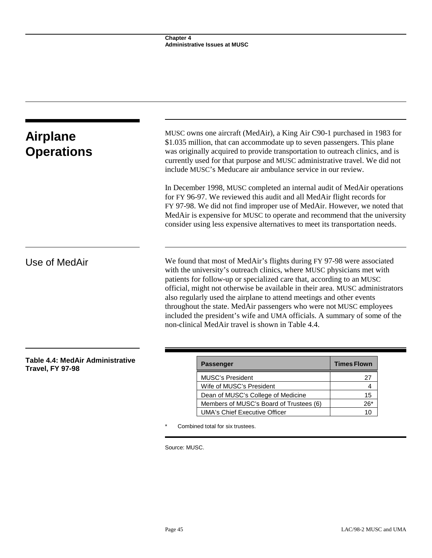| <b>Airplane</b><br><b>Operations</b>    | MUSC owns one aircraft (MedAir), a King Air C90-1 purchased in 1983 for<br>\$1.035 million, that can accommodate up to seven passengers. This plane<br>was originally acquired to provide transportation to outreach clinics, and is<br>currently used for that purpose and MUSC administrative travel. We did not<br>include MUSC's Meducare air ambulance service in our review.                                                                                                                                                                                                          |                    |  |  |  |  |
|-----------------------------------------|---------------------------------------------------------------------------------------------------------------------------------------------------------------------------------------------------------------------------------------------------------------------------------------------------------------------------------------------------------------------------------------------------------------------------------------------------------------------------------------------------------------------------------------------------------------------------------------------|--------------------|--|--|--|--|
|                                         | In December 1998, MUSC completed an internal audit of MedAir operations<br>for FY 96-97. We reviewed this audit and all MedAir flight records for<br>FY 97-98. We did not find improper use of MedAir. However, we noted that<br>MedAir is expensive for MUSC to operate and recommend that the university<br>consider using less expensive alternatives to meet its transportation needs.                                                                                                                                                                                                  |                    |  |  |  |  |
| Use of MedAir                           | We found that most of MedAir's flights during FY 97-98 were associated<br>with the university's outreach clinics, where MUSC physicians met with<br>patients for follow-up or specialized care that, according to an MUSC<br>official, might not otherwise be available in their area. MUSC administrators<br>also regularly used the airplane to attend meetings and other events<br>throughout the state. MedAir passengers who were not MUSC employees<br>included the president's wife and UMA officials. A summary of some of the<br>non-clinical MedAir travel is shown in Table 4.4. |                    |  |  |  |  |
|                                         |                                                                                                                                                                                                                                                                                                                                                                                                                                                                                                                                                                                             |                    |  |  |  |  |
| <b>Table 4.4: MedAir Administrative</b> | <b>Passenger</b>                                                                                                                                                                                                                                                                                                                                                                                                                                                                                                                                                                            | <b>Times Flown</b> |  |  |  |  |
| <b>Travel, FY 97-98</b>                 | <b>MUSC's President</b>                                                                                                                                                                                                                                                                                                                                                                                                                                                                                                                                                                     | 27                 |  |  |  |  |
|                                         | Wife of MUSC's President                                                                                                                                                                                                                                                                                                                                                                                                                                                                                                                                                                    | 4                  |  |  |  |  |
|                                         | Dean of MUSC's College of Medicine                                                                                                                                                                                                                                                                                                                                                                                                                                                                                                                                                          | 15                 |  |  |  |  |
|                                         | Members of MUSC's Board of Trustees (6)<br><b>UMA's Chief Executive Officer</b>                                                                                                                                                                                                                                                                                                                                                                                                                                                                                                             | $26*$<br>10        |  |  |  |  |

Source: MUSC.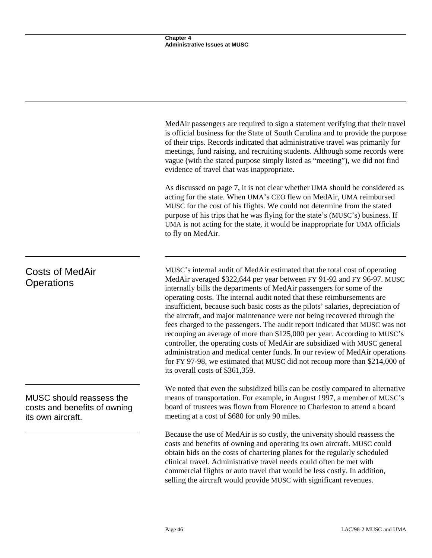MedAir passengers are required to sign a statement verifying that their travel is official business for the State of South Carolina and to provide the purpose of their trips. Records indicated that administrative travel was primarily for meetings, fund raising, and recruiting students. Although some records were vague (with the stated purpose simply listed as "meeting"), we did not find evidence of travel that was inappropriate.

As discussed on page 7, it is not clear whether UMA should be considered as acting for the state. When UMA's CEO flew on MedAir, UMA reimbursed MUSC for the cost of his flights. We could not determine from the stated purpose of his trips that he was flying for the state's (MUSC's) business. If UMA is not acting for the state, it would be inappropriate for UMA officials to fly on MedAir.

MUSC's internal audit of MedAir estimated that the total cost of operating MedAir averaged \$322,644 per year between FY 91-92 and FY 96-97. MUSC internally bills the departments of MedAir passengers for some of the operating costs. The internal audit noted that these reimbursements are insufficient, because such basic costs as the pilots' salaries, depreciation of the aircraft, and major maintenance were not being recovered through the fees charged to the passengers. The audit report indicated that MUSC was not recouping an average of more than \$125,000 per year. According to MUSC's controller, the operating costs of MedAir are subsidized with MUSC general administration and medical center funds. In our review of MedAir operations for FY 97-98, we estimated that MUSC did not recoup more than \$214,000 of its overall costs of \$361,359.

We noted that even the subsidized bills can be costly compared to alternative means of transportation. For example, in August 1997, a member of MUSC's board of trustees was flown from Florence to Charleston to attend a board meeting at a cost of \$680 for only 90 miles.

Because the use of MedAir is so costly, the university should reassess the costs and benefits of owning and operating its own aircraft. MUSC could obtain bids on the costs of chartering planes for the regularly scheduled clinical travel. Administrative travel needs could often be met with commercial flights or auto travel that would be less costly. In addition, selling the aircraft would provide MUSC with significant revenues.

## Costs of MedAir **Operations**

MUSC should reassess the costs and benefits of owning its own aircraft.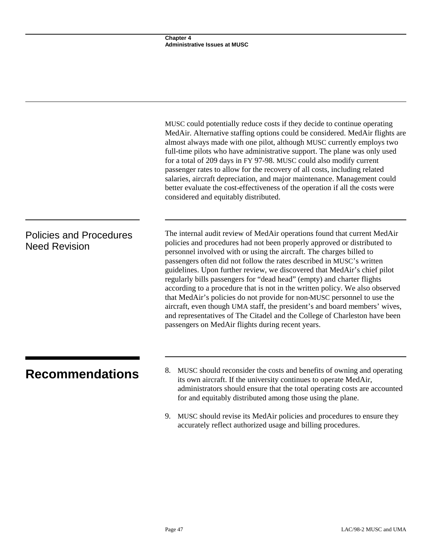|                                                        | MUSC could potentially reduce costs if they decide to continue operating<br>MedAir. Alternative staffing options could be considered. MedAir flights are<br>almost always made with one pilot, although MUSC currently employs two<br>full-time pilots who have administrative support. The plane was only used<br>for a total of 209 days in FY 97-98. MUSC could also modify current<br>passenger rates to allow for the recovery of all costs, including related<br>salaries, aircraft depreciation, and major maintenance. Management could<br>better evaluate the cost-effectiveness of the operation if all the costs were<br>considered and equitably distributed.                                                                                                                                                               |  |  |  |
|--------------------------------------------------------|-----------------------------------------------------------------------------------------------------------------------------------------------------------------------------------------------------------------------------------------------------------------------------------------------------------------------------------------------------------------------------------------------------------------------------------------------------------------------------------------------------------------------------------------------------------------------------------------------------------------------------------------------------------------------------------------------------------------------------------------------------------------------------------------------------------------------------------------|--|--|--|
| <b>Policies and Procedures</b><br><b>Need Revision</b> | The internal audit review of MedAir operations found that current MedAir<br>policies and procedures had not been properly approved or distributed to<br>personnel involved with or using the aircraft. The charges billed to<br>passengers often did not follow the rates described in MUSC's written<br>guidelines. Upon further review, we discovered that MedAir's chief pilot<br>regularly bills passengers for "dead head" (empty) and charter flights<br>according to a procedure that is not in the written policy. We also observed<br>that MedAir's policies do not provide for non-MUSC personnel to use the<br>aircraft, even though UMA staff, the president's and board members' wives,<br>and representatives of The Citadel and the College of Charleston have been<br>passengers on MedAir flights during recent years. |  |  |  |

- **Recommendations** 8. MUSC should reconsider the costs and benefits of owning and operating its own aircraft. If the university continues to operate MedAir, administrators should ensure that the total operating costs are accounted for and equitably distributed among those using the plane.
	- 9. MUSC should revise its MedAir policies and procedures to ensure they accurately reflect authorized usage and billing procedures.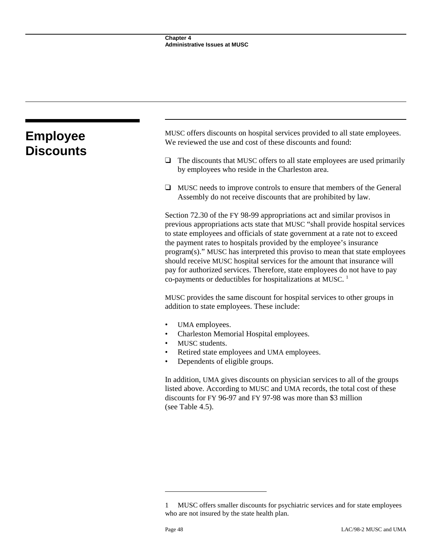| <b>Employee</b>  | MUSC offers discounts on hospital services provided to all state employees.<br>We reviewed the use and cost of these discounts and found:                                                                                                                                                                                                                                                                                                                                                                                                                                                                                          |
|------------------|------------------------------------------------------------------------------------------------------------------------------------------------------------------------------------------------------------------------------------------------------------------------------------------------------------------------------------------------------------------------------------------------------------------------------------------------------------------------------------------------------------------------------------------------------------------------------------------------------------------------------------|
| <b>Discounts</b> | The discounts that MUSC offers to all state employees are used primarily<br>❏<br>by employees who reside in the Charleston area.                                                                                                                                                                                                                                                                                                                                                                                                                                                                                                   |
|                  | MUSC needs to improve controls to ensure that members of the General<br>$\Box$<br>Assembly do not receive discounts that are prohibited by law.                                                                                                                                                                                                                                                                                                                                                                                                                                                                                    |
|                  | Section 72.30 of the FY 98-99 appropriations act and similar provisos in<br>previous appropriations acts state that MUSC "shall provide hospital services<br>to state employees and officials of state government at a rate not to exceed<br>the payment rates to hospitals provided by the employee's insurance<br>program(s)." MUSC has interpreted this proviso to mean that state employees<br>should receive MUSC hospital services for the amount that insurance will<br>pay for authorized services. Therefore, state employees do not have to pay<br>co-payments or deductibles for hospitalizations at MUSC. <sup>1</sup> |
|                  | MUSC provides the same discount for hospital services to other groups in<br>addition to state employees. These include:                                                                                                                                                                                                                                                                                                                                                                                                                                                                                                            |
|                  | UMA employees.<br>Charleston Memorial Hospital employees.<br>$\bullet$<br>MUSC students.<br>$\bullet$<br>Retired state employees and UMA employees.<br>Dependents of eligible groups.                                                                                                                                                                                                                                                                                                                                                                                                                                              |
|                  | In addition, UMA gives discounts on physician services to all of the groups<br>listed above. According to MUSC and UMA records, the total cost of these<br>discounts for FY 96-97 and FY 97-98 was more than \$3 million                                                                                                                                                                                                                                                                                                                                                                                                           |

(see Table 4.5).

<sup>1</sup> MUSC offers smaller discounts for psychiatric services and for state employees who are not insured by the state health plan.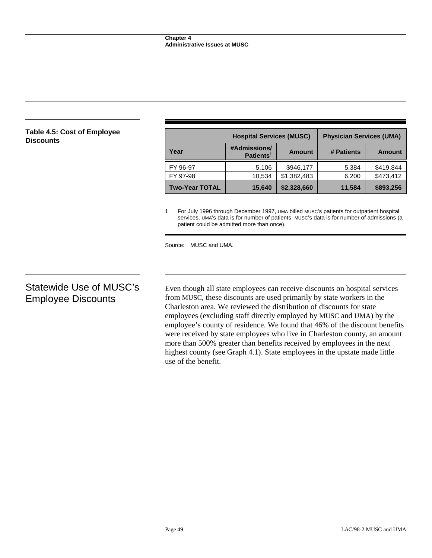|                  | Table 4.5: Cost of Employee |
|------------------|-----------------------------|
| <b>Discounts</b> |                             |

|                       | <b>Hospital Services (MUSC)</b>       |               | <b>Physician Services (UMA)</b> |               |  |
|-----------------------|---------------------------------------|---------------|---------------------------------|---------------|--|
| Year                  | #Admissions/<br>Patients <sup>1</sup> | <b>Amount</b> | # Patients                      | <b>Amount</b> |  |
| FY 96-97              | 5,106                                 | \$946,177     | 5,384                           | \$419,844     |  |
| FY 97-98              | 10,534                                | \$1,382,483   | 6,200                           | \$473,412     |  |
| <b>Two-Year TOTAL</b> | 15,640                                | \$2,328,660   | 11,584                          | \$893,256     |  |

1 For July 1996 through December 1997, UMA billed MUSC's patients for outpatient hospital services. UMA's data is for number of patients. MUSC's data is for number of admissions (a patient could be admitted more than once).

Source: MUSC and UMA.

## Statewide Use of MUSC's Employee Discounts

Even though all state employees can receive discounts on hospital services from MUSC, these discounts are used primarily by state workers in the Charleston area. We reviewed the distribution of discounts for state employees (excluding staff directly employed by MUSC and UMA) by the employee's county of residence. We found that 46% of the discount benefits were received by state employees who live in Charleston county, an amount more than 500% greater than benefits received by employees in the next highest county (see Graph 4.1). State employees in the upstate made little use of the benefit.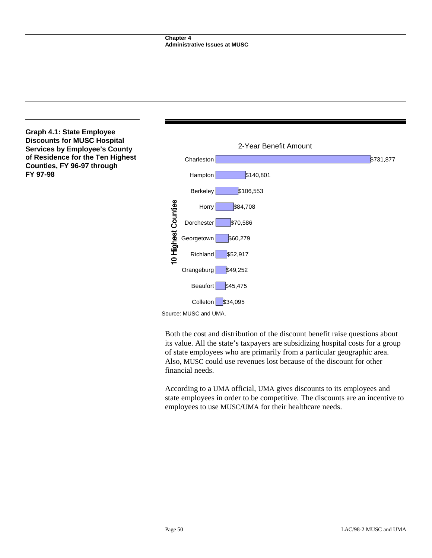

Both the cost and distribution of the discount benefit raise questions about its value. All the state's taxpayers are subsidizing hospital costs for a group of state employees who are primarily from a particular geographic area. Also, MUSC could use revenues lost because of the discount for other financial needs.

According to a UMA official, UMA gives discounts to its employees and state employees in order to be competitive. The discounts are an incentive to employees to use MUSC/UMA for their healthcare needs.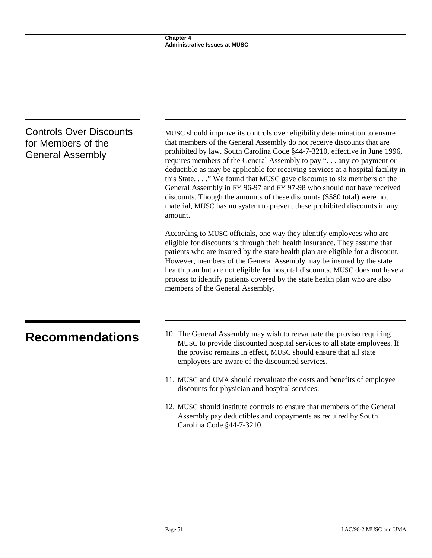| <b>Controls Over Discounts</b> |
|--------------------------------|
| for Members of the             |
| <b>General Assembly</b>        |

MUSC should improve its controls over eligibility determination to ensure that members of the General Assembly do not receive discounts that are prohibited by law. South Carolina Code §44-7-3210, effective in June 1996, requires members of the General Assembly to pay ". . . any co-payment or deductible as may be applicable for receiving services at a hospital facility in this State. . . ." We found that MUSC gave discounts to six members of the General Assembly in FY 96-97 and FY 97-98 who should not have received discounts. Though the amounts of these discounts (\$580 total) were not material, MUSC has no system to prevent these prohibited discounts in any amount.

According to MUSC officials, one way they identify employees who are eligible for discounts is through their health insurance. They assume that patients who are insured by the state health plan are eligible for a discount. However, members of the General Assembly may be insured by the state health plan but are not eligible for hospital discounts. MUSC does not have a process to identify patients covered by the state health plan who are also members of the General Assembly.

- **Recommendations** 10. The General Assembly may wish to reevaluate the proviso requiring MUSC to provide discounted hospital services to all state employees. If the proviso remains in effect, MUSC should ensure that all state employees are aware of the discounted services.
	- 11. MUSC and UMA should reevaluate the costs and benefits of employee discounts for physician and hospital services.
	- 12. MUSC should institute controls to ensure that members of the General Assembly pay deductibles and copayments as required by South Carolina Code §44-7-3210.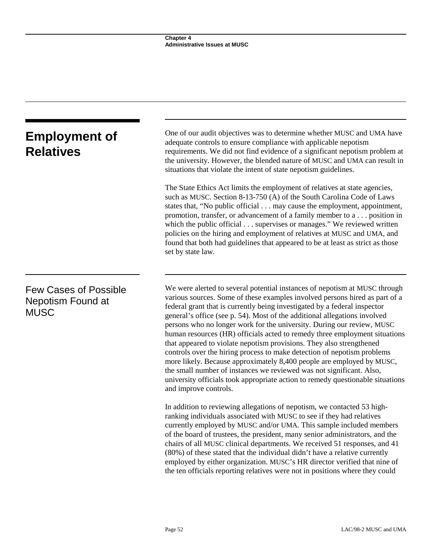| <b>Employment of</b><br><b>Relatives</b>                                | One of our audit objectives was to determine whether MUSC and UMA have<br>adequate controls to ensure compliance with applicable nepotism<br>requirements. We did not find evidence of a significant nepotism problem at<br>the university. However, the blended nature of MUSC and UMA can result in<br>situations that violate the intent of state nepotism guidelines.                                                                                                                                                                                                                                                                                                                                                                                                                                                                                                                  |  |  |  |  |
|-------------------------------------------------------------------------|--------------------------------------------------------------------------------------------------------------------------------------------------------------------------------------------------------------------------------------------------------------------------------------------------------------------------------------------------------------------------------------------------------------------------------------------------------------------------------------------------------------------------------------------------------------------------------------------------------------------------------------------------------------------------------------------------------------------------------------------------------------------------------------------------------------------------------------------------------------------------------------------|--|--|--|--|
|                                                                         | The State Ethics Act limits the employment of relatives at state agencies,<br>such as MUSC. Section 8-13-750 (A) of the South Carolina Code of Laws<br>states that, "No public official may cause the employment, appointment,<br>promotion, transfer, or advancement of a family member to a position in<br>which the public official supervises or manages." We reviewed written<br>policies on the hiring and employment of relatives at MUSC and UMA, and<br>found that both had guidelines that appeared to be at least as strict as those<br>set by state law.                                                                                                                                                                                                                                                                                                                       |  |  |  |  |
| <b>Few Cases of Possible</b><br><b>Nepotism Found at</b><br><b>MUSC</b> | We were alerted to several potential instances of nepotism at MUSC through<br>various sources. Some of these examples involved persons hired as part of a<br>federal grant that is currently being investigated by a federal inspector<br>general's office (see p. 54). Most of the additional allegations involved<br>persons who no longer work for the university. During our review, MUSC<br>human resources (HR) officials acted to remedy three employment situations<br>that appeared to violate nepotism provisions. They also strengthened<br>controls over the hiring process to make detection of nepotism problems<br>more likely. Because approximately 8,400 people are employed by MUSC,<br>the small number of instances we reviewed was not significant. Also,<br>university officials took appropriate action to remedy questionable situations<br>and improve controls. |  |  |  |  |
|                                                                         | In addition to reviewing allegations of nepotism, we contacted 53 high-<br>ranking individuals associated with MUSC to see if they had relatives<br>currently employed by MUSC and/or UMA. This sample included members<br>of the board of trustees, the president, many senior administrators, and the<br>chairs of all MUSC clinical departments. We received 51 responses, and 41<br>(80%) of these stated that the individual didn't have a relative currently<br>employed by either organization. MUSC's HR director verified that nine of<br>the ten officials reporting relatives were not in positions where they could                                                                                                                                                                                                                                                            |  |  |  |  |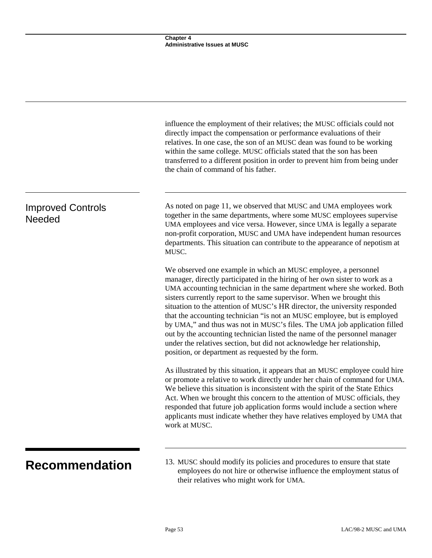|                                           | influence the employment of their relatives; the MUSC officials could not<br>directly impact the compensation or performance evaluations of their<br>relatives. In one case, the son of an MUSC dean was found to be working<br>within the same college. MUSC officials stated that the son has been<br>transferred to a different position in order to prevent him from being under<br>the chain of command of his father.                                                                                                                                                                                                                                                                                                                          |
|-------------------------------------------|------------------------------------------------------------------------------------------------------------------------------------------------------------------------------------------------------------------------------------------------------------------------------------------------------------------------------------------------------------------------------------------------------------------------------------------------------------------------------------------------------------------------------------------------------------------------------------------------------------------------------------------------------------------------------------------------------------------------------------------------------|
| <b>Improved Controls</b><br><b>Needed</b> | As noted on page 11, we observed that MUSC and UMA employees work<br>together in the same departments, where some MUSC employees supervise<br>UMA employees and vice versa. However, since UMA is legally a separate<br>non-profit corporation, MUSC and UMA have independent human resources<br>departments. This situation can contribute to the appearance of nepotism at<br>MUSC.                                                                                                                                                                                                                                                                                                                                                                |
|                                           | We observed one example in which an MUSC employee, a personnel<br>manager, directly participated in the hiring of her own sister to work as a<br>UMA accounting technician in the same department where she worked. Both<br>sisters currently report to the same supervisor. When we brought this<br>situation to the attention of MUSC's HR director, the university responded<br>that the accounting technician "is not an MUSC employee, but is employed<br>by UMA," and thus was not in MUSC's files. The UMA job application filled<br>out by the accounting technician listed the name of the personnel manager<br>under the relatives section, but did not acknowledge her relationship,<br>position, or department as requested by the form. |
|                                           | As illustrated by this situation, it appears that an MUSC employee could hire<br>or promote a relative to work directly under her chain of command for UMA.<br>We believe this situation is inconsistent with the spirit of the State Ethics<br>Act. When we brought this concern to the attention of MUSC officials, they<br>responded that future job application forms would include a section where<br>applicants must indicate whether they have relatives employed by UMA that<br>work at MUSC.                                                                                                                                                                                                                                                |
| <b>Recommendation</b>                     | 13. MUSC should modify its policies and procedures to ensure that state<br>employees do not hire or otherwise influence the employment status of<br>their relatives who might work for UMA.                                                                                                                                                                                                                                                                                                                                                                                                                                                                                                                                                          |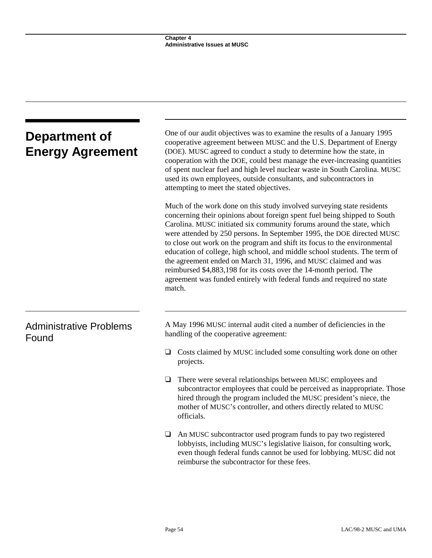| Department of<br><b>Energy Agreement</b> | One of our audit objectives was to examine the results of a January 1995<br>cooperative agreement between MUSC and the U.S. Department of Energy<br>(DOE). MUSC agreed to conduct a study to determine how the state, in<br>cooperation with the DOE, could best manage the ever-increasing quantities<br>of spent nuclear fuel and high level nuclear waste in South Carolina. MUSC<br>used its own employees, outside consultants, and subcontractors in<br>attempting to meet the stated objectives.                                                                                                                                                                                        |  |  |  |  |
|------------------------------------------|------------------------------------------------------------------------------------------------------------------------------------------------------------------------------------------------------------------------------------------------------------------------------------------------------------------------------------------------------------------------------------------------------------------------------------------------------------------------------------------------------------------------------------------------------------------------------------------------------------------------------------------------------------------------------------------------|--|--|--|--|
|                                          | Much of the work done on this study involved surveying state residents<br>concerning their opinions about foreign spent fuel being shipped to South<br>Carolina. MUSC initiated six community forums around the state, which<br>were attended by 250 persons. In September 1995, the DOE directed MUSC<br>to close out work on the program and shift its focus to the environmental<br>education of college, high school, and middle school students. The term of<br>the agreement ended on March 31, 1996, and MUSC claimed and was<br>reimbursed \$4,883,198 for its costs over the 14-month period. The<br>agreement was funded entirely with federal funds and required no state<br>match. |  |  |  |  |
| <b>Administrative Problems</b><br>Found  | A May 1996 MUSC internal audit cited a number of deficiencies in the<br>handling of the cooperative agreement:                                                                                                                                                                                                                                                                                                                                                                                                                                                                                                                                                                                 |  |  |  |  |
|                                          | Costs claimed by MUSC included some consulting work done on other<br>⊔<br>projects.                                                                                                                                                                                                                                                                                                                                                                                                                                                                                                                                                                                                            |  |  |  |  |
|                                          | There were several relationships between MUSC employees and<br>⊔<br>subcontractor employees that could be perceived as inappropriate. Those<br>hired through the program included the MUSC president's niece, the<br>mother of MUSC's controller, and others directly related to MUSC<br>officials.                                                                                                                                                                                                                                                                                                                                                                                            |  |  |  |  |
|                                          | An MUSC subcontractor used program funds to pay two registered<br>⊔<br>lobbyists, including MUSC's legislative liaison, for consulting work,<br>even though federal funds cannot be used for lobbying. MUSC did not<br>reimburse the subcontractor for these fees.                                                                                                                                                                                                                                                                                                                                                                                                                             |  |  |  |  |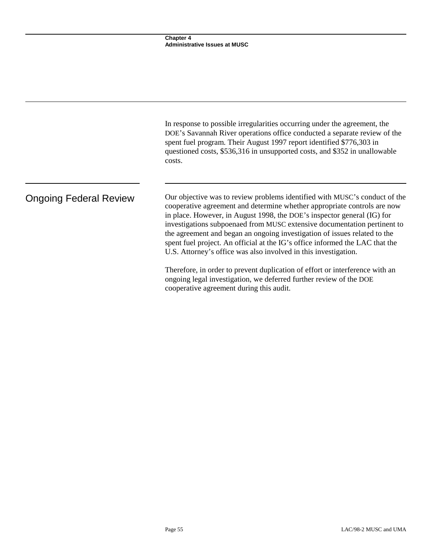|                               | In response to possible irregularities occurring under the agreement, the<br>DOE's Savannah River operations office conducted a separate review of the<br>spent fuel program. Their August 1997 report identified \$776,303 in<br>questioned costs, \$536,316 in unsupported costs, and \$352 in unallowable<br>costs.                                                                                                                                                                                                                        |
|-------------------------------|-----------------------------------------------------------------------------------------------------------------------------------------------------------------------------------------------------------------------------------------------------------------------------------------------------------------------------------------------------------------------------------------------------------------------------------------------------------------------------------------------------------------------------------------------|
| <b>Ongoing Federal Review</b> | Our objective was to review problems identified with MUSC's conduct of the<br>cooperative agreement and determine whether appropriate controls are now<br>in place. However, in August 1998, the DOE's inspector general (IG) for<br>investigations subpoenaed from MUSC extensive documentation pertinent to<br>the agreement and began an ongoing investigation of issues related to the<br>spent fuel project. An official at the IG's office informed the LAC that the<br>U.S. Attorney's office was also involved in this investigation. |
|                               | Therefore, in order to prevent duplication of effort or interference with an<br>ongoing legal investigation, we deferred further review of the DOE<br>cooperative agreement during this audit.                                                                                                                                                                                                                                                                                                                                                |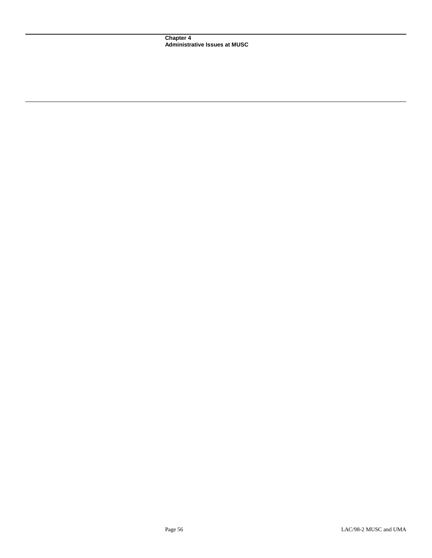**Chapter 4 Administrative Issues at MUSC**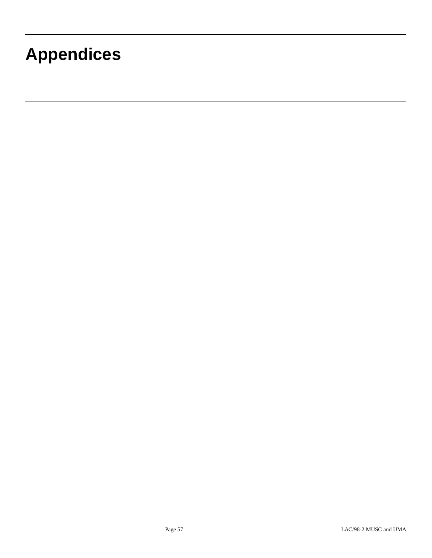# **Appendices**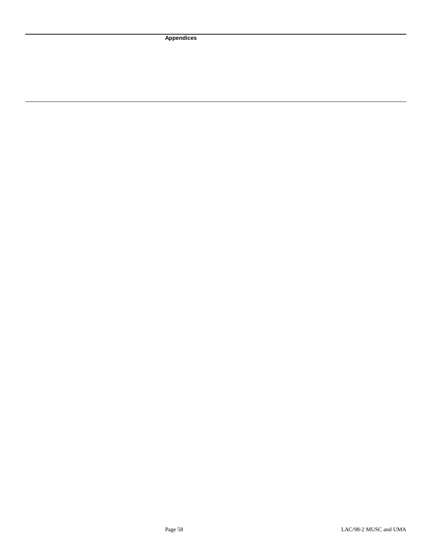**Appendices**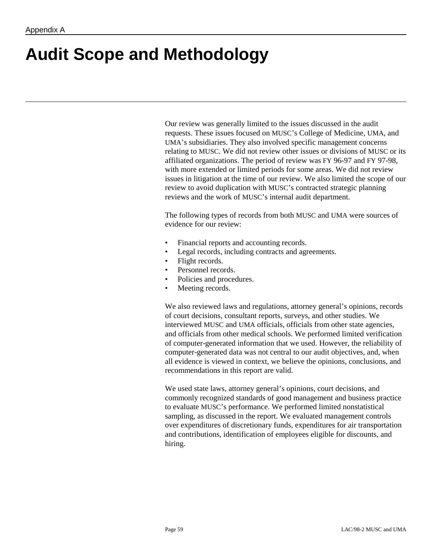## **Audit Scope and Methodology**

Our review was generally limited to the issues discussed in the audit requests. These issues focused on MUSC's College of Medicine, UMA, and UMA's subsidiaries. They also involved specific management concerns relating to MUSC. We did not review other issues or divisions of MUSC or its affiliated organizations. The period of review was FY 96-97 and FY 97-98, with more extended or limited periods for some areas. We did not review issues in litigation at the time of our review. We also limited the scope of our review to avoid duplication with MUSC's contracted strategic planning reviews and the work of MUSC's internal audit department.

The following types of records from both MUSC and UMA were sources of evidence for our review:

- Financial reports and accounting records.
- Legal records, including contracts and agreements.
- Flight records.
- Personnel records.
- Policies and procedures.
- Meeting records.

We also reviewed laws and regulations, attorney general's opinions, records of court decisions, consultant reports, surveys, and other studies. We interviewed MUSC and UMA officials, officials from other state agencies, and officials from other medical schools. We performed limited verification of computer-generated information that we used. However, the reliability of computer-generated data was not central to our audit objectives, and, when all evidence is viewed in context, we believe the opinions, conclusions, and recommendations in this report are valid.

We used state laws, attorney general's opinions, court decisions, and commonly recognized standards of good management and business practice to evaluate MUSC's performance. We performed limited nonstatistical sampling, as discussed in the report. We evaluated management controls over expenditures of discretionary funds, expenditures for air transportation and contributions, identification of employees eligible for discounts, and hiring.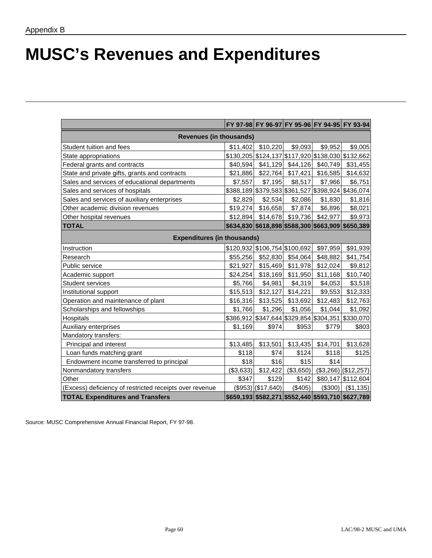## **MUSC's Revenues and Expenditures**

|                                                         |           | FY 97-98 FY 96-97 FY 95-96 FY 94-95 FY 93-94      |           |          |                       |  |
|---------------------------------------------------------|-----------|---------------------------------------------------|-----------|----------|-----------------------|--|
| <b>Revenues (in thousands)</b>                          |           |                                                   |           |          |                       |  |
| Student tuition and fees                                | \$11,402  | \$10,220                                          | \$9,093   | \$9,952  | \$9,005               |  |
| State appropriations                                    |           | \$130,205 \$124,137 \$117,920 \$138,030 \$132,662 |           |          |                       |  |
| Federal grants and contracts                            | \$40,594  | \$41,129                                          | \$44,126  | \$40,749 | \$31,455              |  |
| State and private gifts, grants and contracts           | \$21,886  | \$22,764                                          | \$17,421  | \$16,585 | \$14,632              |  |
| Sales and services of educational departments           | \$7,557   | \$7,195                                           | \$8,517   | \$7,966  | \$6,751               |  |
| Sales and services of hospitals                         |           | \$388,189 \$379,583 \$361,527 \$398,924 \$436,074 |           |          |                       |  |
| Sales and services of auxiliary enterprises             | \$2,829   | \$2,534                                           | \$2,086   | \$1,830  | \$1,816               |  |
| Other academic division revenues                        | \$19,274  | \$16,658                                          | \$7,874   | \$6,896  | \$8,021               |  |
| Other hospital revenues                                 | \$12,894  | \$14,678                                          | \$19,736  | \$42,977 | \$9,973               |  |
| <b>TOTAL</b>                                            |           | \$634,830 \$618,898 \$588,300 \$663,909 \$650,389 |           |          |                       |  |
| <b>Expenditures (in thousands)</b>                      |           |                                                   |           |          |                       |  |
| Instruction                                             |           | \$120,932 \$106,754 \$100,692                     |           | \$97,959 | \$91,939              |  |
| Research                                                | \$55,256  | \$52,830                                          | \$54,064  | \$48,882 | \$41,754              |  |
| Public service                                          | \$21,927  | \$15,469                                          | \$11,978  | \$12,024 | \$9,812               |  |
| Academic support                                        | \$24,254  | \$18,169                                          | \$11,950  | \$11,168 | \$10,740              |  |
| <b>Student services</b>                                 | \$5,766   | \$4,981                                           | \$4,319   | \$4,053  | \$3,518               |  |
| Institutional support                                   | \$15,513  | \$12,127                                          | \$14,221  | \$9,553  | \$12,333              |  |
| Operation and maintenance of plant                      | \$16,316  | \$13,525                                          | \$13,692  | \$12,483 | \$12,763              |  |
| Scholarships and fellowships                            | \$1,766   | \$1,296                                           | \$1,056   | \$1,044  | \$1,092               |  |
| Hospitals                                               |           | \$386,912 \$347,644 \$329,854 \$304,351 \$330,070 |           |          |                       |  |
| Auxiliary enterprises                                   | \$1,169   | \$974                                             | \$953     | \$779    | \$803                 |  |
| Mandatory transfers:                                    |           |                                                   |           |          |                       |  |
| Principal and interest                                  | \$13,485  | \$13,501                                          | \$13,435  | \$14,701 | \$13,628              |  |
| Loan funds matching grant                               | \$118     | \$74                                              | \$124     | \$118    | \$125                 |  |
| Endowment income transferred to principal               | \$18      | \$16                                              | \$15      | \$14     |                       |  |
| Nonmandatory transfers                                  | (\$3,633) | \$12,422                                          | (\$3,650) |          | $($3,266)$ (\$12,257) |  |
| Other                                                   | \$347     | \$129                                             | \$142     |          | \$80,147 \$112,604    |  |
| (Excess) deficiency of restricted receipts over revenue |           | $($953)$ ( $$17,640$ )                            | (\$405)   | (\$300)  | (\$1,135)             |  |
| <b>TOTAL Expenditures and Transfers</b>                 |           | \$659,193 \$582,271 \$552,440 \$593,710 \$627,789 |           |          |                       |  |

Source: MUSC Comprehensive Annual Financial Report, FY 97-98.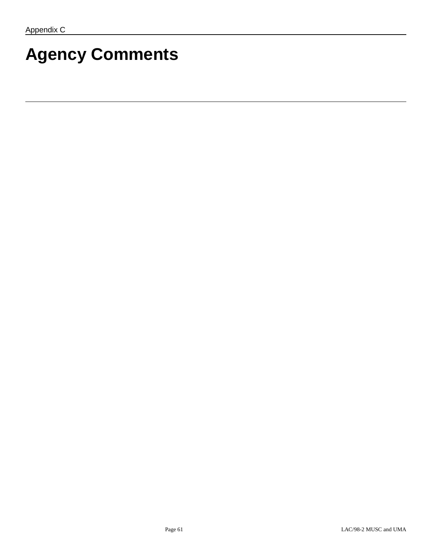# **Agency Comments**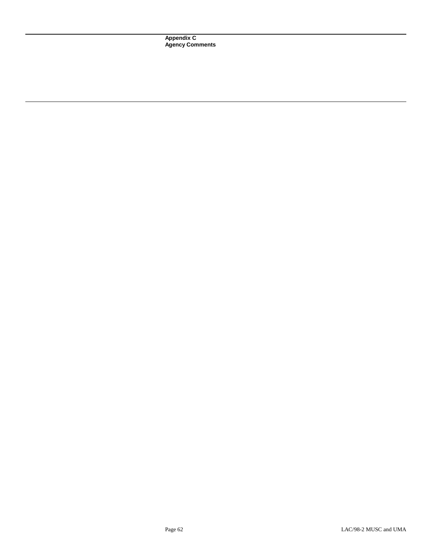**Appendix C Agency Comments**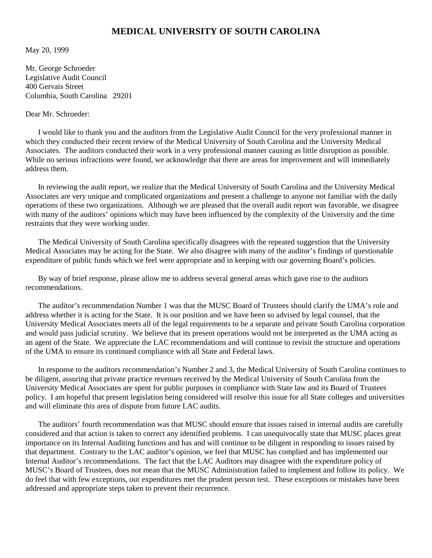### **MEDICAL UNIVERSITY OF SOUTH CAROLINA**

May 20, 1999

Mr. George Schroeder Legislative Audit Council 400 Gervais Street Columbia, South Carolina 29201

### Dear Mr. Schroeder:

I would like to thank you and the auditors from the Legislative Audit Council for the very professional manner in which they conducted their recent review of the Medical University of South Carolina and the University Medical Associates. The auditors conducted their work in a very professional manner causing as little disruption as possible. While no serious infractions were found, we acknowledge that there are areas for improvement and will immediately address them.

In reviewing the audit report, we realize that the Medical University of South Carolina and the University Medical Associates are very unique and complicated organizations and present a challenge to anyone not familiar with the daily operations of these two organizations. Although we are pleased that the overall audit report was favorable, we disagree with many of the auditors' opinions which may have been influenced by the complexity of the University and the time restraints that they were working under.

The Medical University of South Carolina specifically disagrees with the repeated suggestion that the University Medical Associates may be acting for the State. We also disagree with many of the auditor's findings of questionable expenditure of public funds which we feel were appropriate and in keeping with our governing Board's policies.

By way of brief response, please allow me to address several general areas which gave rise to the auditors recommendations.

The auditor's recommendation Number 1 was that the MUSC Board of Trustees should clarify the UMA's role and address whether it is acting for the State. It is our position and we have been so advised by legal counsel, that the University Medical Associates meets all of the legal requirements to be a separate and private South Carolina corporation and would pass judicial scrutiny. We believe that its present operations would not be interpreted as the UMA acting as an agent of the State. We appreciate the LAC recommendations and will continue to revisit the structure and operations of the UMA to ensure its continued compliance with all State and Federal laws.

In response to the auditors recommendation's Number 2 and 3, the Medical University of South Carolina continues to be diligent, assuring that private practice revenues received by the Medical University of South Carolina from the University Medical Associates are spent for public purposes in compliance with State law and its Board of Trustees policy. I am hopeful that present legislation being considered will resolve this issue for all State colleges and universities and will eliminate this area of dispute from future LAC audits.

The auditors' fourth recommendation was that MUSC should ensure that issues raised in internal audits are carefully considered and that action is taken to correct any identified problems. I can unequivocally state that MUSC places great importance on its Internal Auditing functions and has and will continue to be diligent in responding to issues raised by that department. Contrary to the LAC auditor's opinion, we feel that MUSC has complied and has implemented our Internal Auditor's recommendations. The fact that the LAC Auditors may disagree with the expenditure policy of MUSC's Board of Trustees, does not mean that the MUSC Administration failed to implement and follow its policy. We do feel that with few exceptions, our expenditures met the prudent person test. These exceptions or mistakes have been addressed and appropriate steps taken to prevent their recurrence.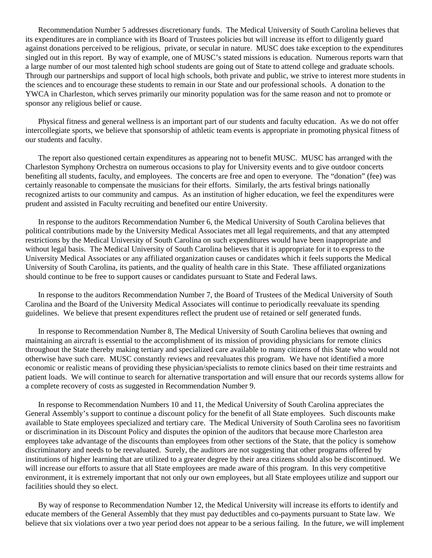Recommendation Number 5 addresses discretionary funds. The Medical University of South Carolina believes that its expenditures are in compliance with its Board of Trustees policies but will increase its effort to diligently guard against donations perceived to be religious, private, or secular in nature. MUSC does take exception to the expenditures singled out in this report. By way of example, one of MUSC's stated missions is education. Numerous reports warn that a large number of our most talented high school students are going out of State to attend college and graduate schools. Through our partnerships and support of local high schools, both private and public, we strive to interest more students in the sciences and to encourage these students to remain in our State and our professional schools. A donation to the YWCA in Charleston, which serves primarily our minority population was for the same reason and not to promote or sponsor any religious belief or cause.

Physical fitness and general wellness is an important part of our students and faculty education. As we do not offer intercollegiate sports, we believe that sponsorship of athletic team events is appropriate in promoting physical fitness of our students and faculty.

The report also questioned certain expenditures as appearing not to benefit MUSC. MUSC has arranged with the Charleston Symphony Orchestra on numerous occasions to play for University events and to give outdoor concerts benefiting all students, faculty, and employees. The concerts are free and open to everyone. The "donation" (fee) was certainly reasonable to compensate the musicians for their efforts. Similarly, the arts festival brings nationally recognized artists to our community and campus. As an institution of higher education, we feel the expenditures were prudent and assisted in Faculty recruiting and benefited our entire University.

In response to the auditors Recommendation Number 6, the Medical University of South Carolina believes that political contributions made by the University Medical Associates met all legal requirements, and that any attempted restrictions by the Medical University of South Carolina on such expenditures would have been inappropriate and without legal basis. The Medical University of South Carolina believes that it is appropriate for it to express to the University Medical Associates or any affiliated organization causes or candidates which it feels supports the Medical University of South Carolina, its patients, and the quality of health care in this State. These affiliated organizations should continue to be free to support causes or candidates pursuant to State and Federal laws.

In response to the auditors Recommendation Number 7, the Board of Trustees of the Medical University of South Carolina and the Board of the University Medical Associates will continue to periodically reevaluate its spending guidelines. We believe that present expenditures reflect the prudent use of retained or self generated funds.

In response to Recommendation Number 8, The Medical University of South Carolina believes that owning and maintaining an aircraft is essential to the accomplishment of its mission of providing physicians for remote clinics throughout the State thereby making tertiary and specialized care available to many citizens of this State who would not otherwise have such care. MUSC constantly reviews and reevaluates this program. We have not identified a more economic or realistic means of providing these physician/specialists to remote clinics based on their time restraints and patient loads. We will continue to search for alternative transportation and will ensure that our records systems allow for a complete recovery of costs as suggested in Recommendation Number 9.

In response to Recommendation Numbers 10 and 11, the Medical University of South Carolina appreciates the General Assembly's support to continue a discount policy for the benefit of all State employees. Such discounts make available to State employees specialized and tertiary care. The Medical University of South Carolina sees no favoritism or discrimination in its Discount Policy and disputes the opinion of the auditors that because more Charleston area employees take advantage of the discounts than employees from other sections of the State, that the policy is somehow discriminatory and needs to be reevaluated. Surely, the auditors are not suggesting that other programs offered by institutions of higher learning that are utilized to a greater degree by their area citizens should also be discontinued. We will increase our efforts to assure that all State employees are made aware of this program. In this very competitive environment, it is extremely important that not only our own employees, but all State employees utilize and support our facilities should they so elect.

By way of response to Recommendation Number 12, the Medical University will increase its efforts to identify and educate members of the General Assembly that they must pay deductibles and co-payments pursuant to State law. We believe that six violations over a two year period does not appear to be a serious failing. In the future, we will implement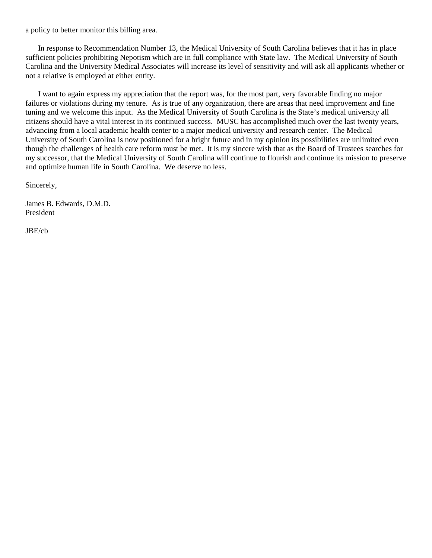a policy to better monitor this billing area.

In response to Recommendation Number 13, the Medical University of South Carolina believes that it has in place sufficient policies prohibiting Nepotism which are in full compliance with State law. The Medical University of South Carolina and the University Medical Associates will increase its level of sensitivity and will ask all applicants whether or not a relative is employed at either entity.

I want to again express my appreciation that the report was, for the most part, very favorable finding no major failures or violations during my tenure. As is true of any organization, there are areas that need improvement and fine tuning and we welcome this input. As the Medical University of South Carolina is the State's medical university all citizens should have a vital interest in its continued success. MUSC has accomplished much over the last twenty years, advancing from a local academic health center to a major medical university and research center. The Medical University of South Carolina is now positioned for a bright future and in my opinion its possibilities are unlimited even though the challenges of health care reform must be met. It is my sincere wish that as the Board of Trustees searches for my successor, that the Medical University of South Carolina will continue to flourish and continue its mission to preserve and optimize human life in South Carolina. We deserve no less.

Sincerely,

James B. Edwards, D.M.D. President

JBE/cb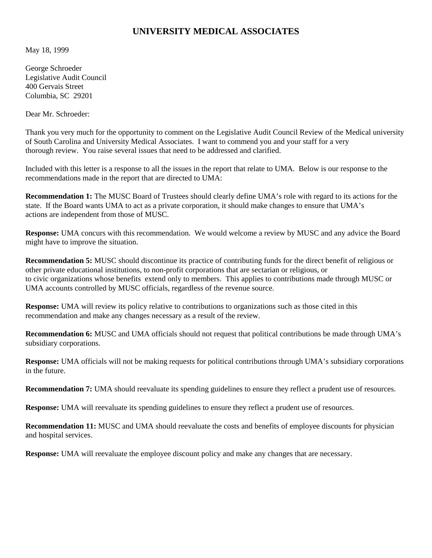# **UNIVERSITY MEDICAL ASSOCIATES**

May 18, 1999

George Schroeder Legislative Audit Council 400 Gervais Street Columbia, SC 29201

Dear Mr. Schroeder:

Thank you very much for the opportunity to comment on the Legislative Audit Council Review of the Medical university of South Carolina and University Medical Associates. I want to commend you and your staff for a very thorough review. You raise several issues that need to be addressed and clarified.

Included with this letter is a response to all the issues in the report that relate to UMA. Below is our response to the recommendations made in the report that are directed to UMA:

**Recommendation 1:** The MUSC Board of Trustees should clearly define UMA's role with regard to its actions for the state. If the Board wants UMA to act as a private corporation, it should make changes to ensure that UMA's actions are independent from those of MUSC.

**Response:** UMA concurs with this recommendation. We would welcome a review by MUSC and any advice the Board might have to improve the situation.

**Recommendation 5:** MUSC should discontinue its practice of contributing funds for the direct benefit of religious or other private educational institutions, to non-profit corporations that are sectarian or religious, or to civic organizations whose benefits extend only to members. This applies to contributions made through MUSC or UMA accounts controlled by MUSC officials, regardless of the revenue source.

**Response:** UMA will review its policy relative to contributions to organizations such as those cited in this recommendation and make any changes necessary as a result of the review.

**Recommendation 6:** MUSC and UMA officials should not request that political contributions be made through UMA's subsidiary corporations.

**Response:** UMA officials will not be making requests for political contributions through UMA's subsidiary corporations in the future.

**Recommendation 7:** UMA should reevaluate its spending guidelines to ensure they reflect a prudent use of resources.

**Response:** UMA will reevaluate its spending guidelines to ensure they reflect a prudent use of resources.

**Recommendation 11:** MUSC and UMA should reevaluate the costs and benefits of employee discounts for physician and hospital services.

**Response:** UMA will reevaluate the employee discount policy and make any changes that are necessary.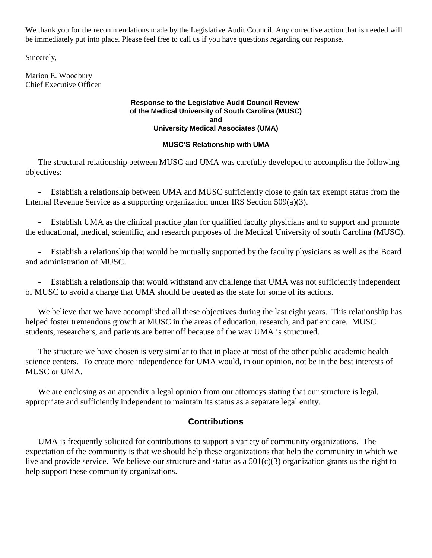We thank you for the recommendations made by the Legislative Audit Council. Any corrective action that is needed will be immediately put into place. Please feel free to call us if you have questions regarding our response.

Sincerely,

Marion E. Woodbury Chief Executive Officer

### **Response to the Legislative Audit Council Review of the Medical University of South Carolina (MUSC) and University Medical Associates (UMA)**

### **MUSC'S Relationship with UMA**

The structural relationship between MUSC and UMA was carefully developed to accomplish the following objectives:

Establish a relationship between UMA and MUSC sufficiently close to gain tax exempt status from the Internal Revenue Service as a supporting organization under IRS Section 509(a)(3).

Establish UMA as the clinical practice plan for qualified faculty physicians and to support and promote the educational, medical, scientific, and research purposes of the Medical University of south Carolina (MUSC).

Establish a relationship that would be mutually supported by the faculty physicians as well as the Board and administration of MUSC.

Establish a relationship that would withstand any challenge that UMA was not sufficiently independent of MUSC to avoid a charge that UMA should be treated as the state for some of its actions.

We believe that we have accomplished all these objectives during the last eight years. This relationship has helped foster tremendous growth at MUSC in the areas of education, research, and patient care. MUSC students, researchers, and patients are better off because of the way UMA is structured.

The structure we have chosen is very similar to that in place at most of the other public academic health science centers. To create more independence for UMA would, in our opinion, not be in the best interests of MUSC or UMA.

We are enclosing as an appendix a legal opinion from our attorneys stating that our structure is legal, appropriate and sufficiently independent to maintain its status as a separate legal entity.

## **Contributions**

UMA is frequently solicited for contributions to support a variety of community organizations. The expectation of the community is that we should help these organizations that help the community in which we live and provide service. We believe our structure and status as a  $501(c)(3)$  organization grants us the right to help support these community organizations.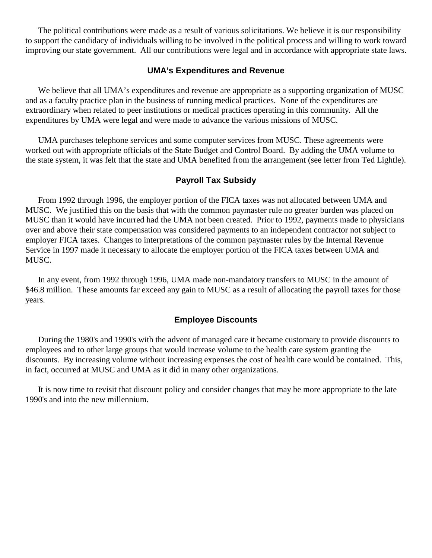The political contributions were made as a result of various solicitations. We believe it is our responsibility to support the candidacy of individuals willing to be involved in the political process and willing to work toward improving our state government. All our contributions were legal and in accordance with appropriate state laws.

### **UMA's Expenditures and Revenue**

We believe that all UMA's expenditures and revenue are appropriate as a supporting organization of MUSC and as a faculty practice plan in the business of running medical practices. None of the expenditures are extraordinary when related to peer institutions or medical practices operating in this community. All the expenditures by UMA were legal and were made to advance the various missions of MUSC.

UMA purchases telephone services and some computer services from MUSC. These agreements were worked out with appropriate officials of the State Budget and Control Board. By adding the UMA volume to the state system, it was felt that the state and UMA benefited from the arrangement (see letter from Ted Lightle).

## **Payroll Tax Subsidy**

From 1992 through 1996, the employer portion of the FICA taxes was not allocated between UMA and MUSC. We justified this on the basis that with the common paymaster rule no greater burden was placed on MUSC than it would have incurred had the UMA not been created. Prior to 1992, payments made to physicians over and above their state compensation was considered payments to an independent contractor not subject to employer FICA taxes. Changes to interpretations of the common paymaster rules by the Internal Revenue Service in 1997 made it necessary to allocate the employer portion of the FICA taxes between UMA and MUSC.

In any event, from 1992 through 1996, UMA made non-mandatory transfers to MUSC in the amount of \$46.8 million. These amounts far exceed any gain to MUSC as a result of allocating the payroll taxes for those years.

### **Employee Discounts**

During the 1980's and 1990's with the advent of managed care it became customary to provide discounts to employees and to other large groups that would increase volume to the health care system granting the discounts. By increasing volume without increasing expenses the cost of health care would be contained. This, in fact, occurred at MUSC and UMA as it did in many other organizations.

It is now time to revisit that discount policy and consider changes that may be more appropriate to the late 1990's and into the new millennium.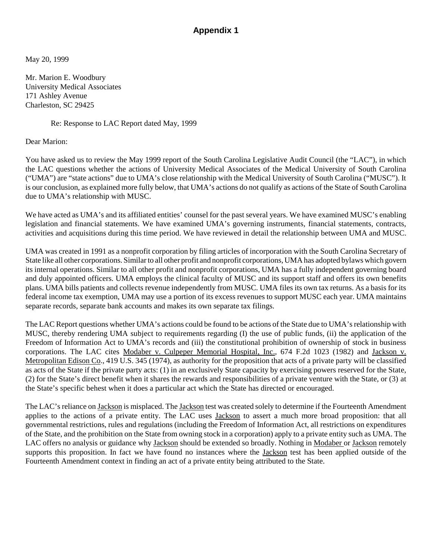# **Appendix 1**

May 20, 1999

Mr. Marion E. Woodbury University Medical Associates 171 Ashley Avenue Charleston, SC 29425

Re: Response to LAC Report dated May, 1999

### Dear Marion:

You have asked us to review the May 1999 report of the South Carolina Legislative Audit Council (the "LAC"), in which the LAC questions whether the actions of University Medical Associates of the Medical University of South Carolina ("UMA") are "state actions" due to UMA's close relationship with the Medical University of South Carolina ("MUSC"). It is our conclusion, as explained more fully below, that UMA's actions do not qualify as actions of the State of South Carolina due to UMA's relationship with MUSC.

We have acted as UMA's and its affiliated entities' counsel for the past several years. We have examined MUSC's enabling legislation and financial statements. We have examined UMA's governing instruments, financial statements, contracts, activities and acquisitions during this time period. We have reviewed in detail the relationship between UMA and MUSC.

UMA was created in 1991 as a nonprofit corporation by filing articles of incorporation with the South Carolina Secretary of State like all other corporations. Similar to all other profit and nonprofit corporations, UMA has adopted bylaws which govern its internal operations. Similar to all other profit and nonprofit corporations, UMA has a fully independent governing board and duly appointed officers. UMA employs the clinical faculty of MUSC and its support staff and offers its own benefits plans. UMA bills patients and collects revenue independently from MUSC. UMA files its own tax returns. As a basis for its federal income tax exemption, UMA may use a portion of its excess revenues to support MUSC each year. UMA maintains separate records, separate bank accounts and makes its own separate tax filings.

The LAC Report questions whether UMA's actions could be found to be actions of the State due to UMA's relationship with MUSC, thereby rendering UMA subject to requirements regarding (I) the use of public funds, (ii) the application of the Freedom of Information Act to UMA's records and (iii) the constitutional prohibition of ownership of stock in business corporations. The LAC cites Modaber v. Culpeper Memorial Hospital, Inc., 674 F.2d 1023 (1982) and Jackson v. Metropolitan Edison Co., 419 U.S. 345 (1974), as authority for the proposition that acts of a private party will be classified as acts of the State if the private party acts: (1) in an exclusively State capacity by exercising powers reserved for the State, (2) for the State's direct benefit when it shares the rewards and responsibilities of a private venture with the State, or (3) at the State's specific behest when it does a particular act which the State has directed or encouraged.

The LAC's reliance on *Jackson* is misplaced. The *Jackson* test was created solely to determine if the Fourteenth Amendment applies to the actions of a private entity. The LAC uses Jackson to assert a much more broad proposition: that all governmental restrictions, rules and regulations (including the Freedom of Information Act, all restrictions on expenditures of the State, and the prohibition on the State from owning stock in a corporation) apply to a private entity such as UMA. The LAC offers no analysis or guidance why Jackson should be extended so broadly. Nothing in Modaber or Jackson remotely supports this proposition. In fact we have found no instances where the Jackson test has been applied outside of the Fourteenth Amendment context in finding an act of a private entity being attributed to the State.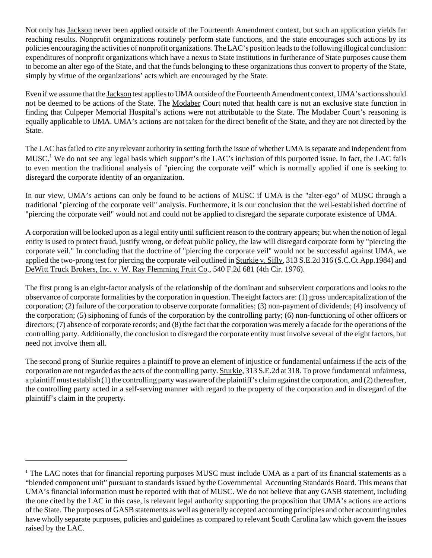Not only has Jackson never been applied outside of the Fourteenth Amendment context, but such an application yields far reaching results. Nonprofit organizations routinely perform state functions, and the state encourages such actions by its policies encouraging the activities of nonprofit organizations. The LAC's position leads to the following illogical conclusion: expenditures of nonprofit organizations which have a nexus to State institutions in furtherance of State purposes cause them to become an alter ego of the State, and that the funds belonging to these organizations thus convert to property of the State, simply by virtue of the organizations' acts which are encouraged by the State.

Even if we assume that the Jackson test applies to UMA outside of the Fourteenth Amendment context, UMA's actions should not be deemed to be actions of the State. The Modaber Court noted that health care is not an exclusive state function in finding that Culpeper Memorial Hospital's actions were not attributable to the State. The Modaber Court's reasoning is equally applicable to UMA. UMA's actions are not taken for the direct benefit of the State, and they are not directed by the State.

The LAC has failed to cite any relevant authority in setting forth the issue of whether UMA is separate and independent from MUSC.<sup>1</sup> We do not see any legal basis which support's the LAC's inclusion of this purported issue. In fact, the LAC fails to even mention the traditional analysis of "piercing the corporate veil" which is normally applied if one is seeking to disregard the corporate identity of an organization.

In our view, UMA's actions can only be found to be actions of MUSC if UMA is the "alter-ego" of MUSC through a traditional "piercing of the corporate veil" analysis. Furthermore, it is our conclusion that the well-established doctrine of "piercing the corporate veil" would not and could not be applied to disregard the separate corporate existence of UMA.

A corporation will be looked upon as a legal entity until sufficient reason to the contrary appears; but when the notion of legal entity is used to protect fraud, justify wrong, or defeat public policy, the law will disregard corporate form by "piercing the corporate veil." In concluding that the doctrine of "piercing the corporate veil" would not be successful against UMA, we applied the two-prong test for piercing the corporate veil outlined in Sturkie v. Sifly, 313 S.E.2d 316 (S.C.Ct.App.1984) and DeWitt Truck Brokers, Inc. v. W. Ray Flemming Fruit Co., 540 F.2d 681 (4th Cir. 1976).

The first prong is an eight-factor analysis of the relationship of the dominant and subservient corporations and looks to the observance of corporate formalities by the corporation in question. The eight factors are: (1) gross undercapitalization of the corporation; (2) failure of the corporation to observe corporate formalities; (3) non-payment of dividends; (4) insolvency of the corporation; (5) siphoning of funds of the corporation by the controlling party; (6) non-functioning of other officers or directors; (7) absence of corporate records; and (8) the fact that the corporation was merely a facade for the operations of the controlling party. Additionally, the conclusion to disregard the corporate entity must involve several of the eight factors, but need not involve them all.

The second prong of Sturkie requires a plaintiff to prove an element of injustice or fundamental unfairness if the acts of the corporation are not regarded as the acts of the controlling party. Sturkie, 313 S.E.2d at 318. To prove fundamental unfairness, a plaintiff must establish (1) the controlling party was aware of the plaintiff's claim against the corporation, and (2) thereafter, the controlling party acted in a self-serving manner with regard to the property of the corporation and in disregard of the plaintiff's claim in the property.

<sup>&</sup>lt;sup>1</sup> The LAC notes that for financial reporting purposes MUSC must include UMA as a part of its financial statements as a "blended component unit" pursuant to standards issued by the Governmental Accounting Standards Board. This means that UMA's financial information must be reported with that of MUSC. We do not believe that any GASB statement, including the one cited by the LAC in this case, is relevant legal authority supporting the proposition that UMA's actions are actions of the State. The purposes of GASB statements as well as generally accepted accounting principles and other accounting rules have wholly separate purposes, policies and guidelines as compared to relevant South Carolina law which govern the issues raised by the LAC.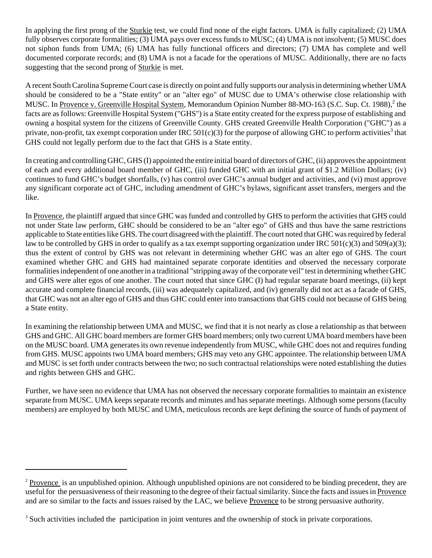In applying the first prong of the Sturkie test, we could find none of the eight factors. UMA is fully capitalized; (2) UMA fully observes corporate formalities; (3) UMA pays over excess funds to MUSC; (4) UMA is not insolvent; (5) MUSC does not siphon funds from UMA; (6) UMA has fully functional officers and directors; (7) UMA has complete and well documented corporate records; and (8) UMA is not a facade for the operations of MUSC. Additionally, there are no facts suggesting that the second prong of Sturkie is met.

A recent South Carolina Supreme Court case is directly on point and fully supports our analysis in determining whether UMA should be considered to be a "State entity" or an "alter ego" of MUSC due to UMA's otherwise close relationship with MUSC. In Provence v. Greenville Hospital System, Memorandum Opinion Number 88-MO-163 (S.C. Sup. Ct. 1988),<sup>2</sup> the facts are as follows: Greenville Hospital System ("GHS") is a State entity created for the express purpose of establishing and owning a hospital system for the citizens of Greenville County. GHS created Greenville Health Corporation ("GHC") as a private, non-profit, tax exempt corporation under IRC  $501(c)(3)$  for the purpose of allowing GHC to perform activities<sup>3</sup> that GHS could not legally perform due to the fact that GHS is a State entity.

In creating and controlling GHC, GHS (I) appointed the entire initial board of directors of GHC, (ii) approves the appointment of each and every additional board member of GHC, (iii) funded GHC with an initial grant of \$1.2 Million Dollars; (iv) continues to fund GHC's budget shortfalls, (v) has control over GHC's annual budget and activities, and (vi) must approve any significant corporate act of GHC, including amendment of GHC's bylaws, significant asset transfers, mergers and the like.

In Provence, the plaintiff argued that since GHC was funded and controlled by GHS to perform the activities that GHS could not under State law perform, GHC should be considered to be an "alter ego" of GHS and thus have the same restrictions applicable to State entities like GHS. The court disagreed with the plaintiff. The court noted that GHC was required by federal law to be controlled by GHS in order to qualify as a tax exempt supporting organization under IRC  $501(c)(3)$  and  $509(a)(3)$ ; thus the extent of control by GHS was not relevant in determining whether GHC was an alter ego of GHS. The court examined whether GHC and GHS had maintained separate corporate identities and observed the necessary corporate formalities independent of one another in a traditional "stripping away of the corporate veil" test in determining whether GHC and GHS were alter egos of one another. The court noted that since GHC (I) had regular separate board meetings, (ii) kept accurate and complete financial records, (iii) was adequately capitalized, and (iv) generally did not act as a facade of GHS, that GHC was not an alter ego of GHS and thus GHC could enter into transactions that GHS could not because of GHS being a State entity.

In examining the relationship between UMA and MUSC, we find that it is not nearly as close a relationship as that between GHS and GHC. All GHC board members are former GHS board members; only two current UMA board members have been on the MUSC board. UMA generates its own revenue independently from MUSC, while GHC does not and requires funding from GHS. MUSC appoints two UMA board members; GHS may veto any GHC appointee. The relationship between UMA and MUSC is set forth under contracts between the two; no such contractual relationships were noted establishing the duties and rights between GHS and GHC.

Further, we have seen no evidence that UMA has not observed the necessary corporate formalities to maintain an existence separate from MUSC. UMA keeps separate records and minutes and has separate meetings. Although some persons (faculty members) are employed by both MUSC and UMA, meticulous records are kept defining the source of funds of payment of

 $2$  Provence is an unpublished opinion. Although unpublished opinions are not considered to be binding precedent, they are useful for the persuasiveness of their reasoning to the degree of their factual similarity. Since the facts and issues in Provence and are so similar to the facts and issues raised by the LAC, we believe Provence to be strong persuasive authority.

<sup>&</sup>lt;sup>3</sup> Such activities included the participation in joint ventures and the ownership of stock in private corporations.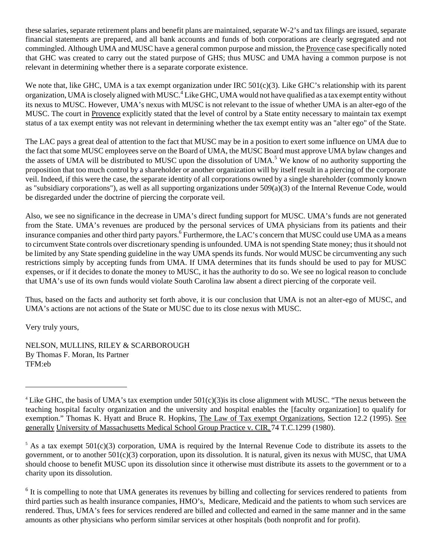these salaries, separate retirement plans and benefit plans are maintained, separate W-2's and tax filings are issued, separate financial statements are prepared, and all bank accounts and funds of both corporations are clearly segregated and not commingled. Although UMA and MUSC have a general common purpose and mission, the Provence case specifically noted that GHC was created to carry out the stated purpose of GHS; thus MUSC and UMA having a common purpose is not relevant in determining whether there is a separate corporate existence.

We note that, like GHC, UMA is a tax exempt organization under IRC  $501(c)(3)$ . Like GHC's relationship with its parent organization, UMA is closely aligned with MUSC.<sup>4</sup> Like GHC, UMA would not have qualified as a tax exempt entity without its nexus to MUSC. However, UMA's nexus with MUSC is not relevant to the issue of whether UMA is an alter-ego of the MUSC. The court in Provence explicitly stated that the level of control by a State entity necessary to maintain tax exempt status of a tax exempt entity was not relevant in determining whether the tax exempt entity was an "alter ego" of the State.

The LAC pays a great deal of attention to the fact that MUSC may be in a position to exert some influence on UMA due to the fact that some MUSC employees serve on the Board of UMA, the MUSC Board must approve UMA bylaw changes and the assets of UMA will be distributed to MUSC upon the dissolution of UMA.<sup>5</sup> We know of no authority supporting the proposition that too much control by a shareholder or another organization will by itself result in a piercing of the corporate veil. Indeed, if this were the case, the separate identity of all corporations owned by a single shareholder (commonly known as "subsidiary corporations"), as well as all supporting organizations under 509(a)(3) of the Internal Revenue Code, would be disregarded under the doctrine of piercing the corporate veil.

Also, we see no significance in the decrease in UMA's direct funding support for MUSC. UMA's funds are not generated from the State. UMA's revenues are produced by the personal services of UMA physicians from its patients and their insurance companies and other third party payors.<sup>6</sup> Furthermore, the LAC's concern that MUSC could use UMA as a means to circumvent State controls over discretionary spending is unfounded. UMA is not spending State money; thus it should not be limited by any State spending guideline in the way UMA spends its funds. Nor would MUSC be circumventing any such restrictions simply by accepting funds from UMA. If UMA determines that its funds should be used to pay for MUSC expenses, or if it decides to donate the money to MUSC, it has the authority to do so. We see no logical reason to conclude that UMA's use of its own funds would violate South Carolina law absent a direct piercing of the corporate veil.

Thus, based on the facts and authority set forth above, it is our conclusion that UMA is not an alter-ego of MUSC, and UMA's actions are not actions of the State or MUSC due to its close nexus with MUSC.

Very truly yours,

NELSON, MULLINS, RILEY & SCARBOROUGH By Thomas F. Moran, Its Partner TFM:eb

 $4$  Like GHC, the basis of UMA's tax exemption under  $501(c)(3)$ is its close alignment with MUSC. "The nexus between the teaching hospital faculty organization and the university and hospital enables the [faculty organization] to qualify for exemption." Thomas K. Hyatt and Bruce R. Hopkins, The Law of Tax exempt Organizations, Section 12.2 (1995). See generally University of Massachusetts Medical School Group Practice v. CIR, 74 T.C.1299 (1980).

 $5$  As a tax exempt  $501(c)(3)$  corporation, UMA is required by the Internal Revenue Code to distribute its assets to the government, or to another  $501(c)(3)$  corporation, upon its dissolution. It is natural, given its nexus with MUSC, that UMA should choose to benefit MUSC upon its dissolution since it otherwise must distribute its assets to the government or to a charity upon its dissolution.

<sup>&</sup>lt;sup>6</sup> It is compelling to note that UMA generates its revenues by billing and collecting for services rendered to patients from third parties such as health insurance companies, HMO's, Medicare, Medicaid and the patients to whom such services are rendered. Thus, UMA's fees for services rendered are billed and collected and earned in the same manner and in the same amounts as other physicians who perform similar services at other hospitals (both nonprofit and for profit).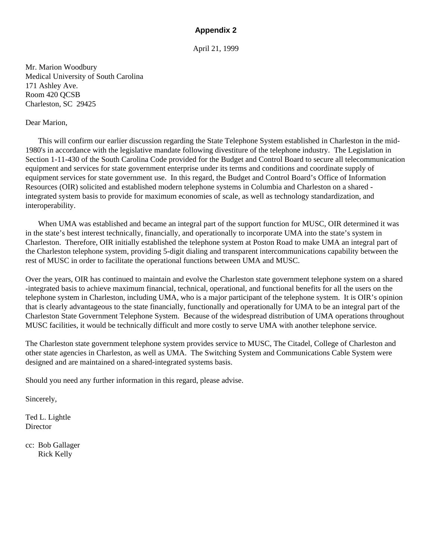## **Appendix 2**

April 21, 1999

Mr. Marion Woodbury Medical University of South Carolina 171 Ashley Ave. Room 420 QCSB Charleston, SC 29425

#### Dear Marion,

This will confirm our earlier discussion regarding the State Telephone System established in Charleston in the mid-1980's in accordance with the legislative mandate following divestiture of the telephone industry. The Legislation in Section 1-11-430 of the South Carolina Code provided for the Budget and Control Board to secure all telecommunication equipment and services for state government enterprise under its terms and conditions and coordinate supply of equipment services for state government use. In this regard, the Budget and Control Board's Office of Information Resources (OIR) solicited and established modern telephone systems in Columbia and Charleston on a shared integrated system basis to provide for maximum economies of scale, as well as technology standardization, and interoperability.

When UMA was established and became an integral part of the support function for MUSC, OIR determined it was in the state's best interest technically, financially, and operationally to incorporate UMA into the state's system in Charleston. Therefore, OIR initially established the telephone system at Poston Road to make UMA an integral part of the Charleston telephone system, providing 5-digit dialing and transparent intercommunications capability between the rest of MUSC in order to facilitate the operational functions between UMA and MUSC.

Over the years, OIR has continued to maintain and evolve the Charleston state government telephone system on a shared -integrated basis to achieve maximum financial, technical, operational, and functional benefits for all the users on the telephone system in Charleston, including UMA, who is a major participant of the telephone system. It is OIR's opinion that is clearly advantageous to the state financially, functionally and operationally for UMA to be an integral part of the Charleston State Government Telephone System. Because of the widespread distribution of UMA operations throughout MUSC facilities, it would be technically difficult and more costly to serve UMA with another telephone service.

The Charleston state government telephone system provides service to MUSC, The Citadel, College of Charleston and other state agencies in Charleston, as well as UMA. The Switching System and Communications Cable System were designed and are maintained on a shared-integrated systems basis.

Should you need any further information in this regard, please advise.

Sincerely,

Ted L. Lightle **Director** 

cc: Bob Gallager Rick Kelly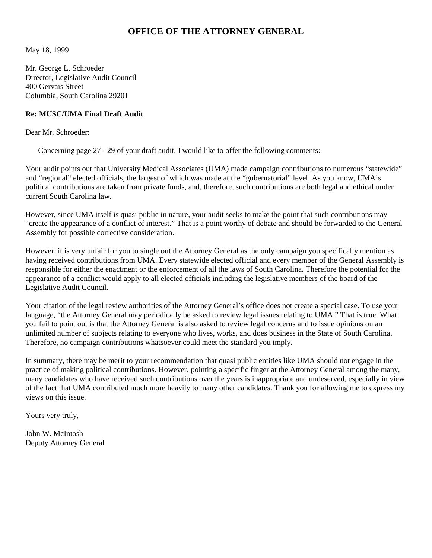# **OFFICE OF THE ATTORNEY GENERAL**

May 18, 1999

Mr. George L. Schroeder Director, Legislative Audit Council 400 Gervais Street Columbia, South Carolina 29201

### **Re: MUSC/UMA Final Draft Audit**

Dear Mr. Schroeder:

Concerning page 27 - 29 of your draft audit, I would like to offer the following comments:

Your audit points out that University Medical Associates (UMA) made campaign contributions to numerous "statewide" and "regional" elected officials, the largest of which was made at the "gubernatorial" level. As you know, UMA's political contributions are taken from private funds, and, therefore, such contributions are both legal and ethical under current South Carolina law.

However, since UMA itself is quasi public in nature, your audit seeks to make the point that such contributions may "create the appearance of a conflict of interest." That is a point worthy of debate and should be forwarded to the General Assembly for possible corrective consideration.

However, it is very unfair for you to single out the Attorney General as the only campaign you specifically mention as having received contributions from UMA. Every statewide elected official and every member of the General Assembly is responsible for either the enactment or the enforcement of all the laws of South Carolina. Therefore the potential for the appearance of a conflict would apply to all elected officials including the legislative members of the board of the Legislative Audit Council.

Your citation of the legal review authorities of the Attorney General's office does not create a special case. To use your language, "the Attorney General may periodically be asked to review legal issues relating to UMA." That is true. What you fail to point out is that the Attorney General is also asked to review legal concerns and to issue opinions on an unlimited number of subjects relating to everyone who lives, works, and does business in the State of South Carolina. Therefore, no campaign contributions whatsoever could meet the standard you imply.

In summary, there may be merit to your recommendation that quasi public entities like UMA should not engage in the practice of making political contributions. However, pointing a specific finger at the Attorney General among the many, many candidates who have received such contributions over the years is inappropriate and undeserved, especially in view of the fact that UMA contributed much more heavily to many other candidates. Thank you for allowing me to express my views on this issue.

Yours very truly,

John W. McIntosh Deputy Attorney General